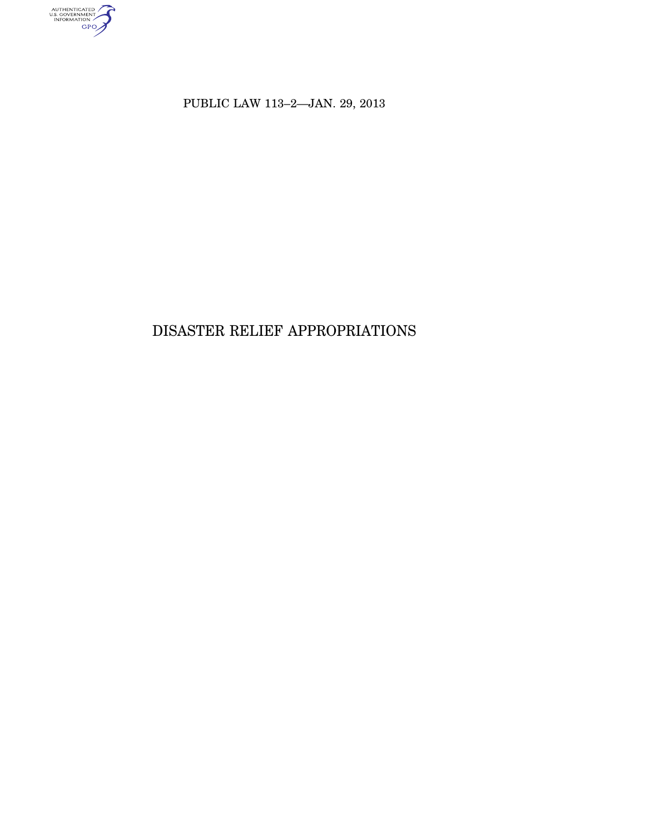

PUBLIC LAW 113–2—JAN. 29, 2013

# DISASTER RELIEF APPROPRIATIONS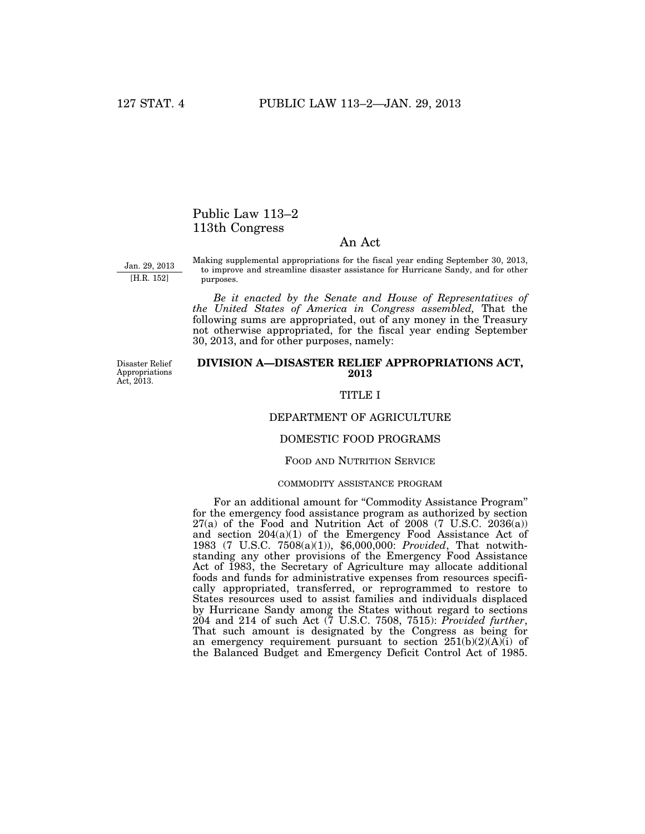# Public Law 113–2 113th Congress

### An Act

Jan. 29, 2013 [H.R. 152]

Making supplemental appropriations for the fiscal year ending September 30, 2013, to improve and streamline disaster assistance for Hurricane Sandy, and for other purposes.

*Be it enacted by the Senate and House of Representatives of the United States of America in Congress assembled,* That the following sums are appropriated, out of any money in the Treasury not otherwise appropriated, for the fiscal year ending September 30, 2013, and for other purposes, namely:

Disaster Relief Appropriations Act, 2013.

### **DIVISION A—DISASTER RELIEF APPROPRIATIONS ACT, 2013**

### TITLE I

#### DEPARTMENT OF AGRICULTURE

### DOMESTIC FOOD PROGRAMS

#### FOOD AND NUTRITION SERVICE

#### COMMODITY ASSISTANCE PROGRAM

For an additional amount for "Commodity Assistance Program" for the emergency food assistance program as authorized by section  $27(a)$  of the Food and Nutrition Act of  $2008$  (7 U.S.C.  $2036(a)$ ) and section 204(a)(1) of the Emergency Food Assistance Act of 1983 (7 U.S.C. 7508(a)(1)), \$6,000,000: *Provided*, That notwithstanding any other provisions of the Emergency Food Assistance Act of 1983, the Secretary of Agriculture may allocate additional foods and funds for administrative expenses from resources specifically appropriated, transferred, or reprogrammed to restore to States resources used to assist families and individuals displaced by Hurricane Sandy among the States without regard to sections 204 and 214 of such Act (7 U.S.C. 7508, 7515): *Provided further*, That such amount is designated by the Congress as being for an emergency requirement pursuant to section  $251(b)(2)(A)(i)$  of the Balanced Budget and Emergency Deficit Control Act of 1985.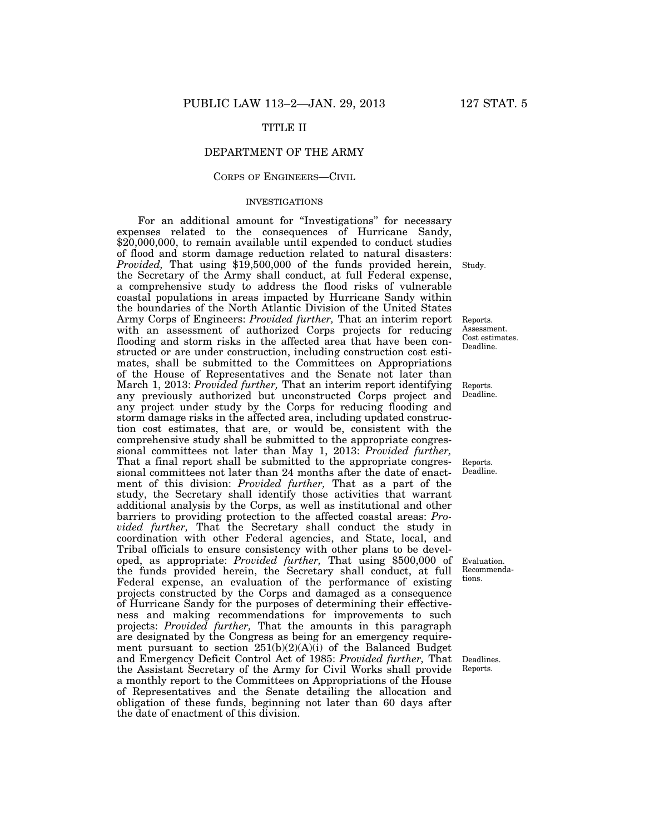### TITLE II

### DEPARTMENT OF THE ARMY

#### CORPS OF ENGINEERS—CIVIL

#### INVESTIGATIONS

For an additional amount for "Investigations" for necessary expenses related to the consequences of Hurricane Sandy, \$20,000,000, to remain available until expended to conduct studies of flood and storm damage reduction related to natural disasters: *Provided*, That using \$19,500,000 of the funds provided herein, the Secretary of the Army shall conduct, at full Federal expense, a comprehensive study to address the flood risks of vulnerable coastal populations in areas impacted by Hurricane Sandy within the boundaries of the North Atlantic Division of the United States Army Corps of Engineers: *Provided further,* That an interim report with an assessment of authorized Corps projects for reducing flooding and storm risks in the affected area that have been constructed or are under construction, including construction cost estimates, shall be submitted to the Committees on Appropriations of the House of Representatives and the Senate not later than March 1, 2013: *Provided further,* That an interim report identifying any previously authorized but unconstructed Corps project and any project under study by the Corps for reducing flooding and storm damage risks in the affected area, including updated construction cost estimates, that are, or would be, consistent with the comprehensive study shall be submitted to the appropriate congressional committees not later than May 1, 2013: *Provided further,*  That a final report shall be submitted to the appropriate congressional committees not later than 24 months after the date of enactment of this division: *Provided further,* That as a part of the study, the Secretary shall identify those activities that warrant additional analysis by the Corps, as well as institutional and other barriers to providing protection to the affected coastal areas: *Provided further,* That the Secretary shall conduct the study in coordination with other Federal agencies, and State, local, and Tribal officials to ensure consistency with other plans to be developed, as appropriate: *Provided further,* That using \$500,000 of the funds provided herein, the Secretary shall conduct, at full Federal expense, an evaluation of the performance of existing projects constructed by the Corps and damaged as a consequence of Hurricane Sandy for the purposes of determining their effectiveness and making recommendations for improvements to such projects: *Provided further,* That the amounts in this paragraph are designated by the Congress as being for an emergency requirement pursuant to section  $251(b)(2)(A)(i)$  of the Balanced Budget and Emergency Deficit Control Act of 1985: *Provided further,* That the Assistant Secretary of the Army for Civil Works shall provide a monthly report to the Committees on Appropriations of the House of Representatives and the Senate detailing the allocation and obligation of these funds, beginning not later than 60 days after the date of enactment of this division.

Study.

Reports. Assessment. Cost estimates. Deadline.

Reports. Deadline.

Reports. Deadline.

Evaluation. Recommendations.

Deadlines. Reports.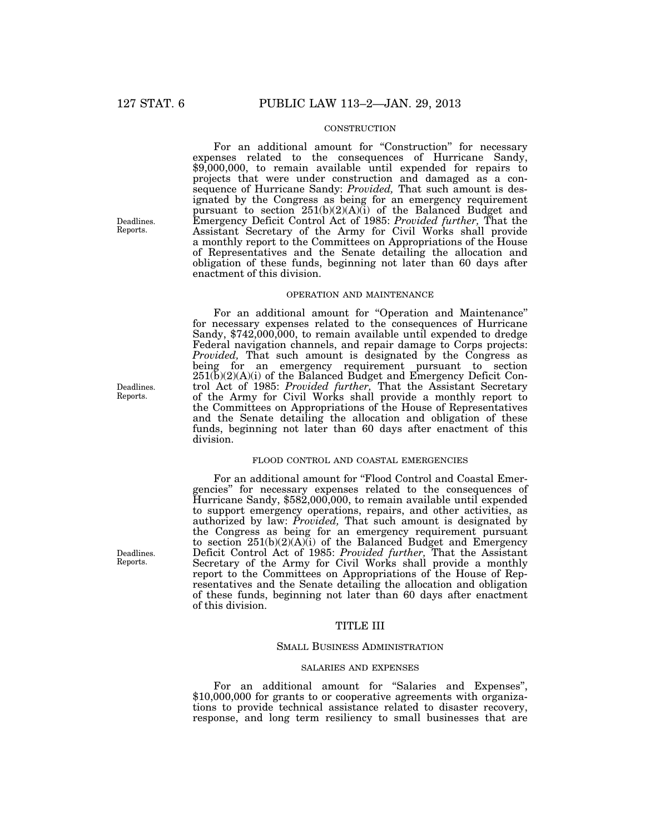### **CONSTRUCTION**

For an additional amount for "Construction" for necessary expenses related to the consequences of Hurricane Sandy, \$9,000,000, to remain available until expended for repairs to projects that were under construction and damaged as a consequence of Hurricane Sandy: *Provided,* That such amount is designated by the Congress as being for an emergency requirement pursuant to section 251(b)(2)(A)(i) of the Balanced Budget and Emergency Deficit Control Act of 1985: *Provided further,* That the Assistant Secretary of the Army for Civil Works shall provide a monthly report to the Committees on Appropriations of the House of Representatives and the Senate detailing the allocation and obligation of these funds, beginning not later than 60 days after enactment of this division.

### OPERATION AND MAINTENANCE

For an additional amount for ''Operation and Maintenance'' for necessary expenses related to the consequences of Hurricane Sandy, \$742,000,000, to remain available until expended to dredge Federal navigation channels, and repair damage to Corps projects: *Provided,* That such amount is designated by the Congress as being for an emergency requirement pursuant to section  $251(b)(2)(A)(i)$  of the Balanced Budget and Emergency Deficit Control Act of 1985: *Provided further,* That the Assistant Secretary of the Army for Civil Works shall provide a monthly report to the Committees on Appropriations of the House of Representatives and the Senate detailing the allocation and obligation of these funds, beginning not later than 60 days after enactment of this division.

### FLOOD CONTROL AND COASTAL EMERGENCIES

For an additional amount for "Flood Control and Coastal Emergencies'' for necessary expenses related to the consequences of Hurricane Sandy, \$582,000,000, to remain available until expended to support emergency operations, repairs, and other activities, as authorized by law: *Provided,* That such amount is designated by the Congress as being for an emergency requirement pursuant to section 251(b)(2)(A)(i) of the Balanced Budget and Emergency Deficit Control Act of 1985: *Provided further,* That the Assistant Secretary of the Army for Civil Works shall provide a monthly report to the Committees on Appropriations of the House of Representatives and the Senate detailing the allocation and obligation of these funds, beginning not later than 60 days after enactment of this division.

### TITLE III

#### SMALL BUSINESS ADMINISTRATION

#### SALARIES AND EXPENSES

For an additional amount for "Salaries and Expenses", \$10,000,000 for grants to or cooperative agreements with organizations to provide technical assistance related to disaster recovery, response, and long term resiliency to small businesses that are

Deadlines. Reports.

Deadlines. Reports.

Deadlines. Reports.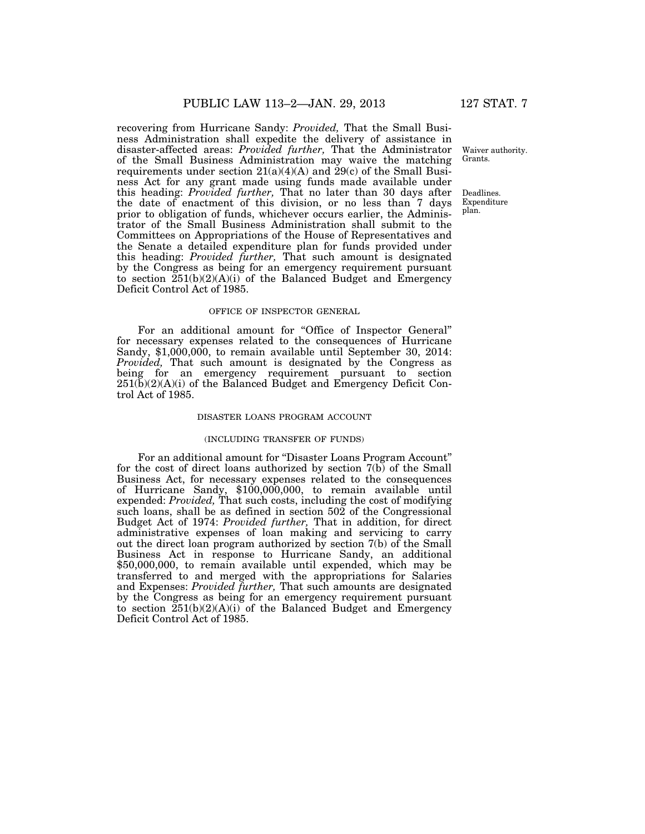recovering from Hurricane Sandy: *Provided,* That the Small Business Administration shall expedite the delivery of assistance in disaster-affected areas: *Provided further,* That the Administrator of the Small Business Administration may waive the matching requirements under section  $21(a)(4)(A)$  and  $29(c)$  of the Small Business Act for any grant made using funds made available under this heading: *Provided further,* That no later than 30 days after the date of enactment of this division, or no less than 7 days prior to obligation of funds, whichever occurs earlier, the Administrator of the Small Business Administration shall submit to the Committees on Appropriations of the House of Representatives and the Senate a detailed expenditure plan for funds provided under this heading: *Provided further,* That such amount is designated by the Congress as being for an emergency requirement pursuant to section  $251(b)(2)(A)(i)$  of the Balanced Budget and Emergency Deficit Control Act of 1985.

#### OFFICE OF INSPECTOR GENERAL

For an additional amount for "Office of Inspector General" for necessary expenses related to the consequences of Hurricane Sandy, \$1,000,000, to remain available until September 30, 2014: *Provided,* That such amount is designated by the Congress as being for an emergency requirement pursuant to section  $251(\overline{b})(2)(\overline{A})(i)$  of the Balanced Budget and Emergency Deficit Control Act of 1985.

#### DISASTER LOANS PROGRAM ACCOUNT

#### (INCLUDING TRANSFER OF FUNDS)

For an additional amount for "Disaster Loans Program Account" for the cost of direct loans authorized by section 7(b) of the Small Business Act, for necessary expenses related to the consequences of Hurricane Sandy, \$100,000,000, to remain available until expended: *Provided,* That such costs, including the cost of modifying such loans, shall be as defined in section 502 of the Congressional Budget Act of 1974: *Provided further,* That in addition, for direct administrative expenses of loan making and servicing to carry out the direct loan program authorized by section 7(b) of the Small Business Act in response to Hurricane Sandy, an additional \$50,000,000, to remain available until expended, which may be transferred to and merged with the appropriations for Salaries and Expenses: *Provided further,* That such amounts are designated by the Congress as being for an emergency requirement pursuant to section  $251(b)(2)(A)(i)$  of the Balanced Budget and Emergency Deficit Control Act of 1985.

Waiver authority. Grants.

Deadlines. Expenditure plan.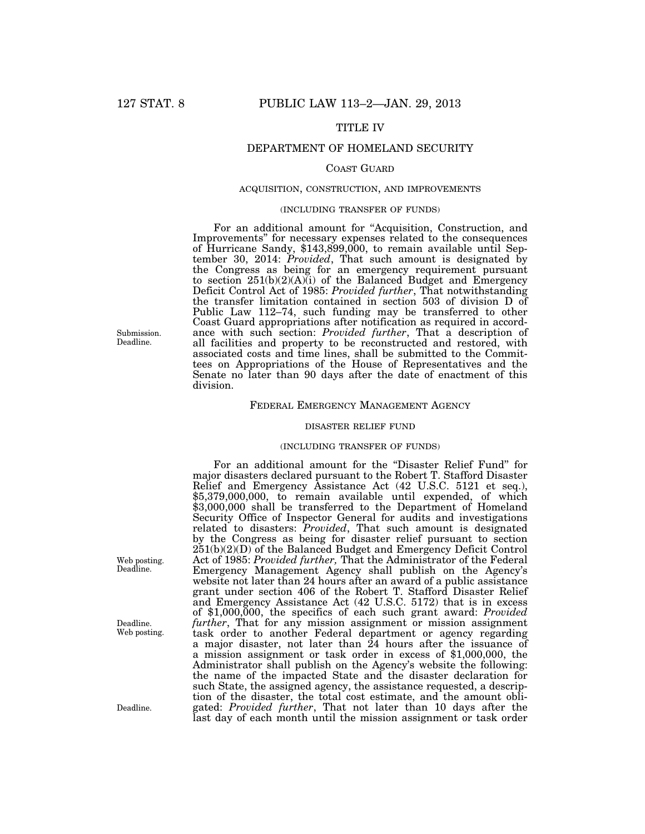### TITLE IV

### DEPARTMENT OF HOMELAND SECURITY

#### COAST GUARD

#### ACQUISITION, CONSTRUCTION, AND IMPROVEMENTS

#### (INCLUDING TRANSFER OF FUNDS)

For an additional amount for "Acquisition, Construction, and Improvements'' for necessary expenses related to the consequences of Hurricane Sandy, \$143,899,000, to remain available until September 30, 2014: *Provided*, That such amount is designated by the Congress as being for an emergency requirement pursuant to section  $251(b)(2)(A)(i)$  of the Balanced Budget and Emergency Deficit Control Act of 1985: *Provided further*, That notwithstanding the transfer limitation contained in section 503 of division D of Public Law 112–74, such funding may be transferred to other Coast Guard appropriations after notification as required in accordance with such section: *Provided further*, That a description of all facilities and property to be reconstructed and restored, with associated costs and time lines, shall be submitted to the Committees on Appropriations of the House of Representatives and the Senate no later than 90 days after the date of enactment of this division.

#### FEDERAL EMERGENCY MANAGEMENT AGENCY

#### DISASTER RELIEF FUND

### (INCLUDING TRANSFER OF FUNDS)

For an additional amount for the "Disaster Relief Fund" for major disasters declared pursuant to the Robert T. Stafford Disaster Relief and Emergency Assistance Act (42 U.S.C. 5121 et seq.), \$5,379,000,000, to remain available until expended, of which \$3,000,000 shall be transferred to the Department of Homeland Security Office of Inspector General for audits and investigations related to disasters: *Provided*, That such amount is designated by the Congress as being for disaster relief pursuant to section 251(b)(2)(D) of the Balanced Budget and Emergency Deficit Control Act of 1985: *Provided further,* That the Administrator of the Federal Emergency Management Agency shall publish on the Agency's website not later than 24 hours after an award of a public assistance grant under section 406 of the Robert T. Stafford Disaster Relief and Emergency Assistance Act (42 U.S.C. 5172) that is in excess of \$1,000,000, the specifics of each such grant award: *Provided further*, That for any mission assignment or mission assignment task order to another Federal department or agency regarding a major disaster, not later than 24 hours after the issuance of a mission assignment or task order in excess of \$1,000,000, the Administrator shall publish on the Agency's website the following: the name of the impacted State and the disaster declaration for such State, the assigned agency, the assistance requested, a description of the disaster, the total cost estimate, and the amount obligated: *Provided further*, That not later than 10 days after the last day of each month until the mission assignment or task order

Submission. Deadline.

Web posting. Deadline.

Deadline. Web posting.

Deadline.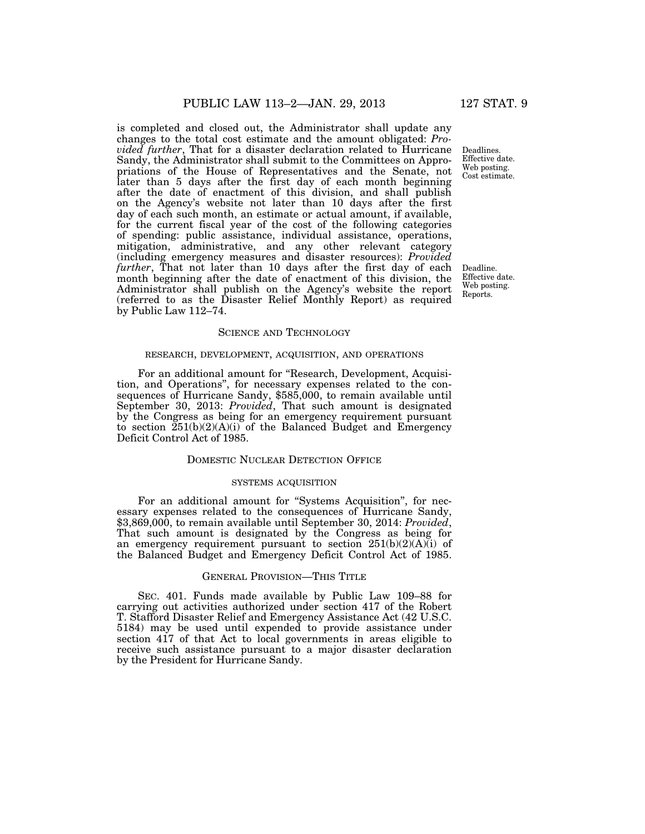is completed and closed out, the Administrator shall update any changes to the total cost estimate and the amount obligated: *Provided further*, That for a disaster declaration related to Hurricane Sandy, the Administrator shall submit to the Committees on Appropriations of the House of Representatives and the Senate, not later than 5 days after the first day of each month beginning after the date of enactment of this division, and shall publish on the Agency's website not later than 10 days after the first day of each such month, an estimate or actual amount, if available, for the current fiscal year of the cost of the following categories of spending: public assistance, individual assistance, operations, mitigation, administrative, and any other relevant category (including emergency measures and disaster resources): *Provided further*, That not later than 10 days after the first day of each month beginning after the date of enactment of this division, the Administrator shall publish on the Agency's website the report (referred to as the Disaster Relief Monthly Report) as required by Public Law 112–74.

#### SCIENCE AND TECHNOLOGY

### RESEARCH, DEVELOPMENT, ACQUISITION, AND OPERATIONS

For an additional amount for "Research, Development, Acquisition, and Operations'', for necessary expenses related to the consequences of Hurricane Sandy, \$585,000, to remain available until September 30, 2013: *Provided*, That such amount is designated by the Congress as being for an emergency requirement pursuant to section  $251(b)(2)(A)(i)$  of the Balanced Budget and Emergency Deficit Control Act of 1985.

#### DOMESTIC NUCLEAR DETECTION OFFICE

#### SYSTEMS ACQUISITION

For an additional amount for "Systems Acquisition", for necessary expenses related to the consequences of Hurricane Sandy, \$3,869,000, to remain available until September 30, 2014: *Provided*, That such amount is designated by the Congress as being for an emergency requirement pursuant to section  $251(b)(2)(A)(i)$  of the Balanced Budget and Emergency Deficit Control Act of 1985.

#### GENERAL PROVISION—THIS TITLE

SEC. 401. Funds made available by Public Law 109–88 for carrying out activities authorized under section 417 of the Robert T. Stafford Disaster Relief and Emergency Assistance Act (42 U.S.C. 5184) may be used until expended to provide assistance under section 417 of that Act to local governments in areas eligible to receive such assistance pursuant to a major disaster declaration by the President for Hurricane Sandy.

Deadlines. Effective date. Web posting. Cost estimate.

Deadline. Effective date. Web posting. Reports.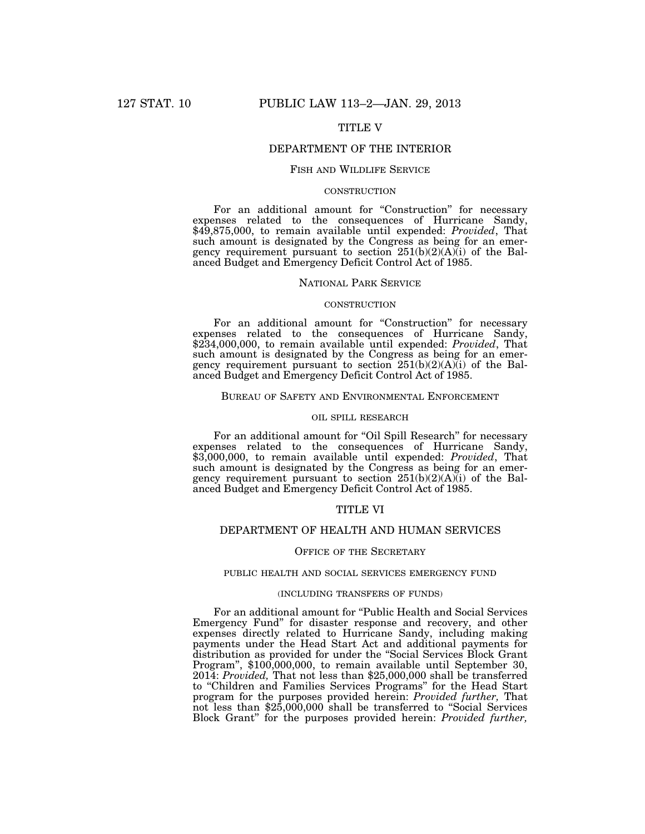### TITLE V

### DEPARTMENT OF THE INTERIOR

#### FISH AND WILDLIFE SERVICE

#### **CONSTRUCTION**

For an additional amount for "Construction" for necessary expenses related to the consequences of Hurricane Sandy, \$49,875,000, to remain available until expended: *Provided*, That such amount is designated by the Congress as being for an emergency requirement pursuant to section  $251(b)(2)(A)(i)$  of the Balanced Budget and Emergency Deficit Control Act of 1985.

### NATIONAL PARK SERVICE

#### **CONSTRUCTION**

For an additional amount for "Construction" for necessary expenses related to the consequences of Hurricane Sandy, \$234,000,000, to remain available until expended: *Provided*, That such amount is designated by the Congress as being for an emergency requirement pursuant to section  $251(b)(2)(A)(i)$  of the Balanced Budget and Emergency Deficit Control Act of 1985.

#### BUREAU OF SAFETY AND ENVIRONMENTAL ENFORCEMENT

#### OIL SPILL RESEARCH

For an additional amount for "Oil Spill Research" for necessary expenses related to the consequences of Hurricane Sandy, \$3,000,000, to remain available until expended: *Provided*, That such amount is designated by the Congress as being for an emergency requirement pursuant to section 251(b)(2)(A)(i) of the Balanced Budget and Emergency Deficit Control Act of 1985.

### TITLE VI

### DEPARTMENT OF HEALTH AND HUMAN SERVICES

#### OFFICE OF THE SECRETARY

#### PUBLIC HEALTH AND SOCIAL SERVICES EMERGENCY FUND

#### (INCLUDING TRANSFERS OF FUNDS)

For an additional amount for "Public Health and Social Services" Emergency Fund'' for disaster response and recovery, and other expenses directly related to Hurricane Sandy, including making payments under the Head Start Act and additional payments for distribution as provided for under the ''Social Services Block Grant Program", \$100,000,000, to remain available until September 30, 2014: *Provided,* That not less than \$25,000,000 shall be transferred to ''Children and Families Services Programs'' for the Head Start program for the purposes provided herein: *Provided further,* That not less than \$25,000,000 shall be transferred to ''Social Services Block Grant'' for the purposes provided herein: *Provided further,*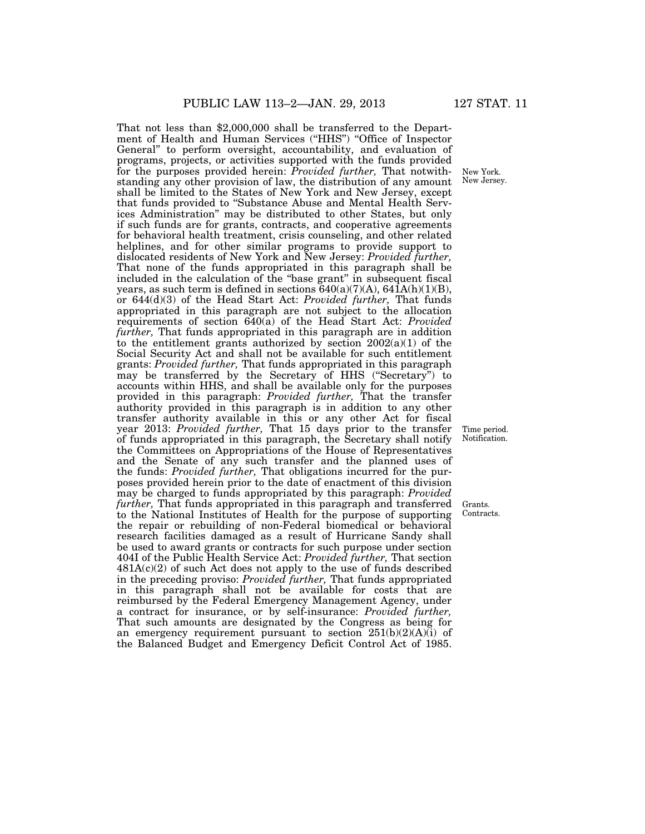That not less than \$2,000,000 shall be transferred to the Department of Health and Human Services ("HHS") "Office of Inspector General'' to perform oversight, accountability, and evaluation of programs, projects, or activities supported with the funds provided for the purposes provided herein: *Provided further,* That notwithstanding any other provision of law, the distribution of any amount shall be limited to the States of New York and New Jersey, except that funds provided to ''Substance Abuse and Mental Health Services Administration'' may be distributed to other States, but only if such funds are for grants, contracts, and cooperative agreements for behavioral health treatment, crisis counseling, and other related helplines, and for other similar programs to provide support to dislocated residents of New York and New Jersey: *Provided further,*  That none of the funds appropriated in this paragraph shall be included in the calculation of the ''base grant'' in subsequent fiscal years, as such term is defined in sections  $640(a)(7)(A)$ ,  $641A(h)(1)(B)$ , or 644(d)(3) of the Head Start Act: *Provided further,* That funds appropriated in this paragraph are not subject to the allocation requirements of section 640(a) of the Head Start Act: *Provided further,* That funds appropriated in this paragraph are in addition to the entitlement grants authorized by section  $2002(a)(1)$  of the Social Security Act and shall not be available for such entitlement grants: *Provided further,* That funds appropriated in this paragraph may be transferred by the Secretary of HHS (''Secretary'') to accounts within HHS, and shall be available only for the purposes provided in this paragraph: *Provided further,* That the transfer authority provided in this paragraph is in addition to any other transfer authority available in this or any other Act for fiscal year 2013: *Provided further,* That 15 days prior to the transfer of funds appropriated in this paragraph, the Secretary shall notify the Committees on Appropriations of the House of Representatives and the Senate of any such transfer and the planned uses of the funds: *Provided further,* That obligations incurred for the purposes provided herein prior to the date of enactment of this division may be charged to funds appropriated by this paragraph: *Provided further,* That funds appropriated in this paragraph and transferred to the National Institutes of Health for the purpose of supporting the repair or rebuilding of non-Federal biomedical or behavioral research facilities damaged as a result of Hurricane Sandy shall be used to award grants or contracts for such purpose under section 404I of the Public Health Service Act: *Provided further,* That section  $481A(c)(2)$  of such Act does not apply to the use of funds described in the preceding proviso: *Provided further,* That funds appropriated in this paragraph shall not be available for costs that are reimbursed by the Federal Emergency Management Agency, under a contract for insurance, or by self-insurance: *Provided further,*  That such amounts are designated by the Congress as being for an emergency requirement pursuant to section  $251(b)(2)(A)(i)$  of the Balanced Budget and Emergency Deficit Control Act of 1985.

New York. New Jersey.

Time period. Notification.

Grants. Contracts.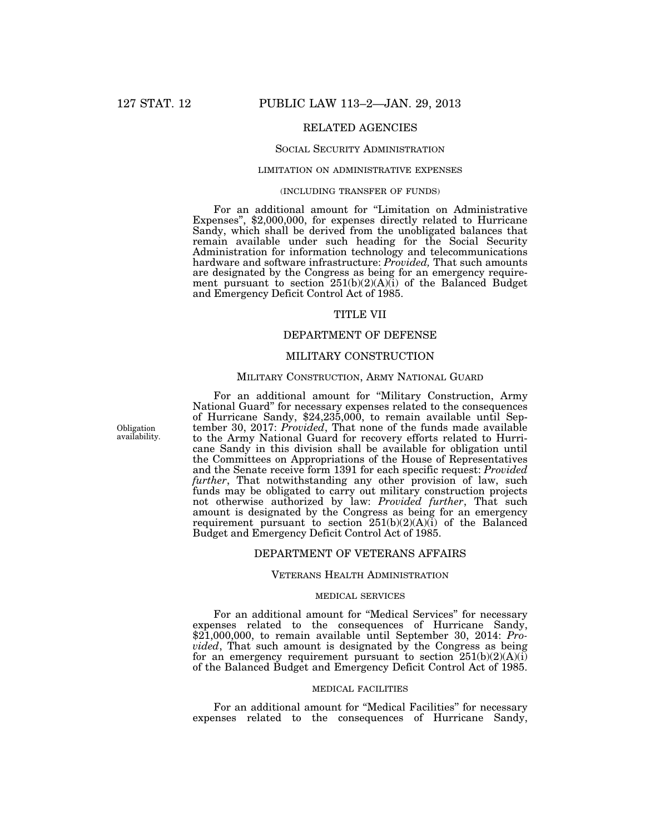### RELATED AGENCIES

#### SOCIAL SECURITY ADMINISTRATION

### LIMITATION ON ADMINISTRATIVE EXPENSES

### (INCLUDING TRANSFER OF FUNDS)

For an additional amount for "Limitation on Administrative Expenses'', \$2,000,000, for expenses directly related to Hurricane Sandy, which shall be derived from the unobligated balances that remain available under such heading for the Social Security Administration for information technology and telecommunications hardware and software infrastructure: *Provided,* That such amounts are designated by the Congress as being for an emergency requirement pursuant to section 251(b)(2)(A)(i) of the Balanced Budget and Emergency Deficit Control Act of 1985.

### TITLE VII

### DEPARTMENT OF DEFENSE

### MILITARY CONSTRUCTION

#### MILITARY CONSTRUCTION, ARMY NATIONAL GUARD

For an additional amount for ''Military Construction, Army National Guard'' for necessary expenses related to the consequences of Hurricane Sandy, \$24,235,000, to remain available until September 30, 2017: *Provided*, That none of the funds made available to the Army National Guard for recovery efforts related to Hurricane Sandy in this division shall be available for obligation until the Committees on Appropriations of the House of Representatives and the Senate receive form 1391 for each specific request: *Provided further*, That notwithstanding any other provision of law, such funds may be obligated to carry out military construction projects not otherwise authorized by law: *Provided further*, That such amount is designated by the Congress as being for an emergency requirement pursuant to section 251(b)(2)(A)(i) of the Balanced Budget and Emergency Deficit Control Act of 1985.

### DEPARTMENT OF VETERANS AFFAIRS

#### VETERANS HEALTH ADMINISTRATION

### MEDICAL SERVICES

For an additional amount for ''Medical Services'' for necessary expenses related to the consequences of Hurricane Sandy, \$21,000,000, to remain available until September 30, 2014: *Provided*, That such amount is designated by the Congress as being for an emergency requirement pursuant to section  $251(b)(2)(A)(i)$ of the Balanced Budget and Emergency Deficit Control Act of 1985.

#### MEDICAL FACILITIES

For an additional amount for ''Medical Facilities'' for necessary expenses related to the consequences of Hurricane Sandy,

Obligation availability.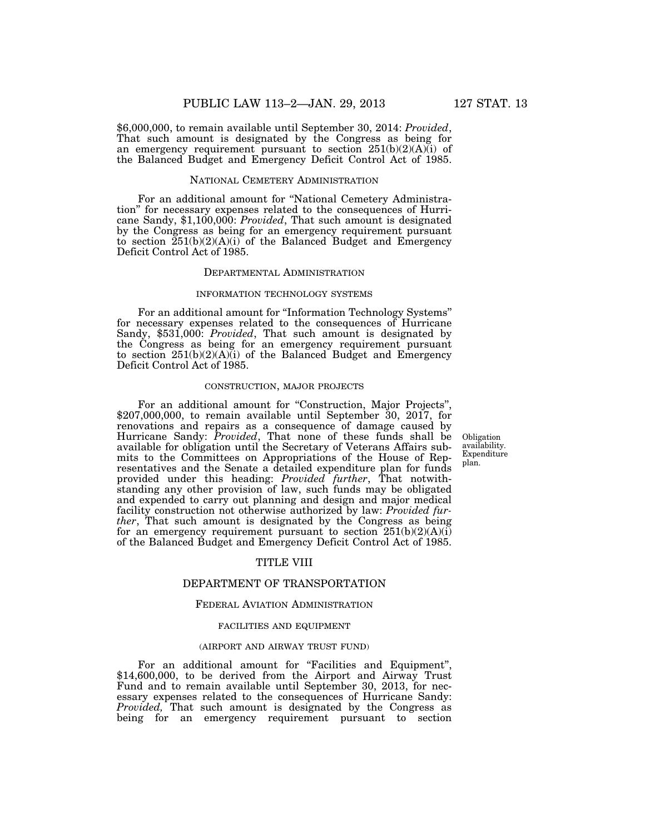\$6,000,000, to remain available until September 30, 2014: *Provided*, That such amount is designated by the Congress as being for an emergency requirement pursuant to section  $251(b)(2)(A)(i)$  of the Balanced Budget and Emergency Deficit Control Act of 1985.

### NATIONAL CEMETERY ADMINISTRATION

For an additional amount for ''National Cemetery Administration'' for necessary expenses related to the consequences of Hurricane Sandy, \$1,100,000: *Provided*, That such amount is designated by the Congress as being for an emergency requirement pursuant to section  $251(b)(2)(A)(i)$  of the Balanced Budget and Emergency Deficit Control Act of 1985.

#### DEPARTMENTAL ADMINISTRATION

#### INFORMATION TECHNOLOGY SYSTEMS

For an additional amount for ''Information Technology Systems'' for necessary expenses related to the consequences of Hurricane Sandy, \$531,000: *Provided*, That such amount is designated by the Congress as being for an emergency requirement pursuant to section 251(b)(2)(A)(i) of the Balanced Budget and Emergency Deficit Control Act of 1985.

#### CONSTRUCTION, MAJOR PROJECTS

For an additional amount for "Construction, Major Projects" \$207,000,000, to remain available until September 30, 2017, for renovations and repairs as a consequence of damage caused by Hurricane Sandy: *Provided*, That none of these funds shall be available for obligation until the Secretary of Veterans Affairs submits to the Committees on Appropriations of the House of Representatives and the Senate a detailed expenditure plan for funds provided under this heading: *Provided further*, That notwithstanding any other provision of law, such funds may be obligated and expended to carry out planning and design and major medical facility construction not otherwise authorized by law: *Provided further*, That such amount is designated by the Congress as being for an emergency requirement pursuant to section  $251(b)(2)(A)(i)$ of the Balanced Budget and Emergency Deficit Control Act of 1985.

### TITLE VIII

#### DEPARTMENT OF TRANSPORTATION

#### FEDERAL AVIATION ADMINISTRATION

#### FACILITIES AND EQUIPMENT

#### (AIRPORT AND AIRWAY TRUST FUND)

For an additional amount for "Facilities and Equipment", \$14,600,000, to be derived from the Airport and Airway Trust Fund and to remain available until September 30, 2013, for necessary expenses related to the consequences of Hurricane Sandy: *Provided,* That such amount is designated by the Congress as being for an emergency requirement pursuant to section

**Obligation** availability. Expenditure plan.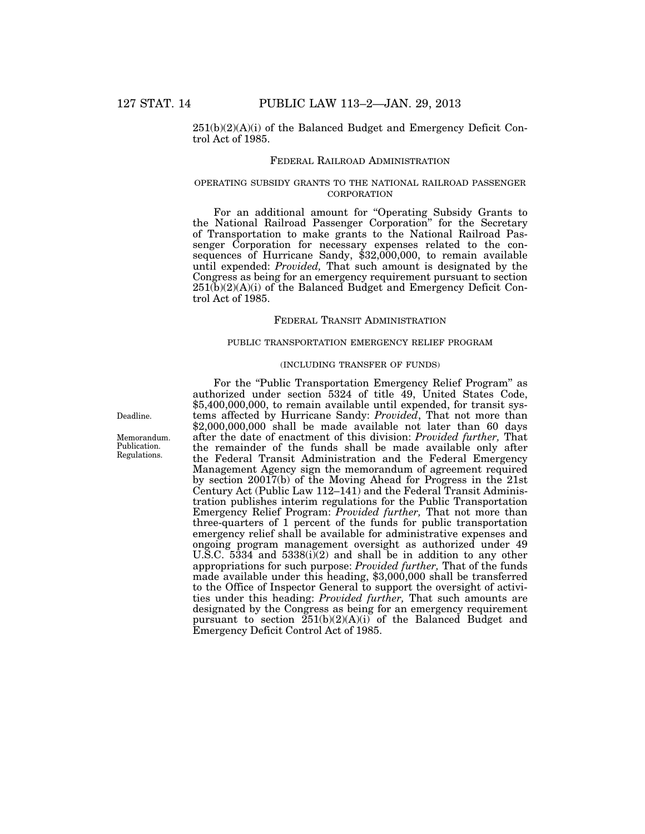$251(b)(2)(A)(i)$  of the Balanced Budget and Emergency Deficit Control Act of 1985.

#### FEDERAL RAILROAD ADMINISTRATION

#### OPERATING SUBSIDY GRANTS TO THE NATIONAL RAILROAD PASSENGER **CORPORATION**

For an additional amount for ''Operating Subsidy Grants to the National Railroad Passenger Corporation'' for the Secretary of Transportation to make grants to the National Railroad Passenger Corporation for necessary expenses related to the consequences of Hurricane Sandy, \$32,000,000, to remain available until expended: *Provided,* That such amount is designated by the Congress as being for an emergency requirement pursuant to section  $251(b)(2)(A)(i)$  of the Balanced Budget and Emergency Deficit Control Act of 1985.

### FEDERAL TRANSIT ADMINISTRATION

#### PUBLIC TRANSPORTATION EMERGENCY RELIEF PROGRAM

### (INCLUDING TRANSFER OF FUNDS)

For the ''Public Transportation Emergency Relief Program'' as authorized under section 5324 of title 49, United States Code, \$5,400,000,000, to remain available until expended, for transit systems affected by Hurricane Sandy: *Provided*, That not more than \$2,000,000,000 shall be made available not later than 60 days after the date of enactment of this division: *Provided further,* That the remainder of the funds shall be made available only after the Federal Transit Administration and the Federal Emergency Management Agency sign the memorandum of agreement required by section 20017(b) of the Moving Ahead for Progress in the 21st Century Act (Public Law 112–141) and the Federal Transit Administration publishes interim regulations for the Public Transportation Emergency Relief Program: *Provided further,* That not more than three-quarters of 1 percent of the funds for public transportation emergency relief shall be available for administrative expenses and ongoing program management oversight as authorized under 49 U.S.C. 5334 and 5338(i)(2) and shall be in addition to any other appropriations for such purpose: *Provided further,* That of the funds made available under this heading, \$3,000,000 shall be transferred to the Office of Inspector General to support the oversight of activities under this heading: *Provided further,* That such amounts are designated by the Congress as being for an emergency requirement pursuant to section  $\widetilde{251(b)(2)(A)(i)}$  of the Balanced Budget and Emergency Deficit Control Act of 1985.

Deadline.

Memorandum. Publication. Regulations.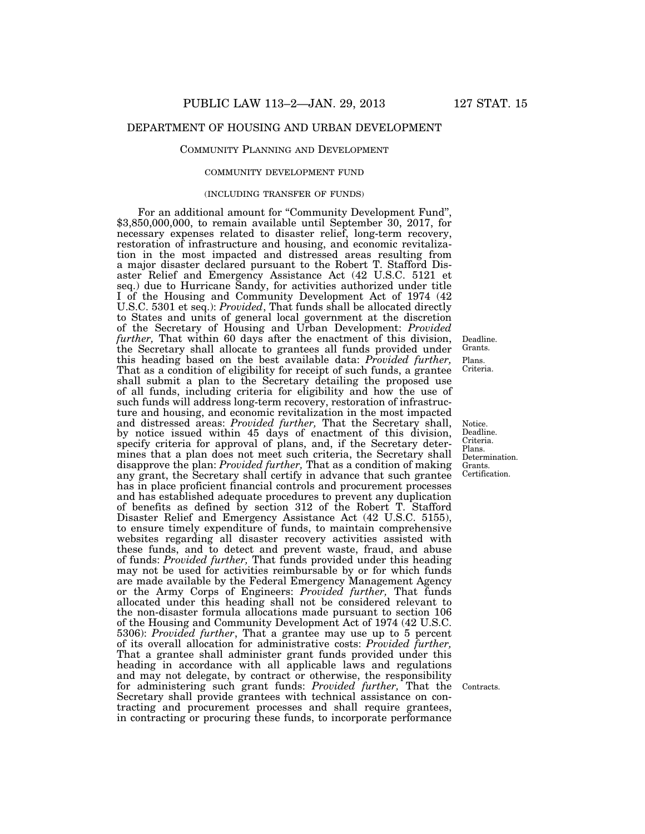### DEPARTMENT OF HOUSING AND URBAN DEVELOPMENT

#### COMMUNITY PLANNING AND DEVELOPMENT

#### COMMUNITY DEVELOPMENT FUND

#### (INCLUDING TRANSFER OF FUNDS)

For an additional amount for ''Community Development Fund'', \$3,850,000,000, to remain available until September 30, 2017, for necessary expenses related to disaster relief, long-term recovery, restoration of infrastructure and housing, and economic revitalization in the most impacted and distressed areas resulting from a major disaster declared pursuant to the Robert T. Stafford Disaster Relief and Emergency Assistance Act (42 U.S.C. 5121 et seq.) due to Hurricane Sandy, for activities authorized under title I of the Housing and Community Development Act of 1974 (42 U.S.C. 5301 et seq.): *Provided*, That funds shall be allocated directly to States and units of general local government at the discretion of the Secretary of Housing and Urban Development: *Provided further,* That within 60 days after the enactment of this division, the Secretary shall allocate to grantees all funds provided under this heading based on the best available data: *Provided further,*  That as a condition of eligibility for receipt of such funds, a grantee shall submit a plan to the Secretary detailing the proposed use of all funds, including criteria for eligibility and how the use of such funds will address long-term recovery, restoration of infrastructure and housing, and economic revitalization in the most impacted and distressed areas: *Provided further,* That the Secretary shall, by notice issued within 45 days of enactment of this division, specify criteria for approval of plans, and, if the Secretary determines that a plan does not meet such criteria, the Secretary shall disapprove the plan: *Provided further,* That as a condition of making any grant, the Secretary shall certify in advance that such grantee has in place proficient financial controls and procurement processes and has established adequate procedures to prevent any duplication of benefits as defined by section 312 of the Robert T. Stafford Disaster Relief and Emergency Assistance Act (42 U.S.C. 5155), to ensure timely expenditure of funds, to maintain comprehensive websites regarding all disaster recovery activities assisted with these funds, and to detect and prevent waste, fraud, and abuse of funds: *Provided further,* That funds provided under this heading may not be used for activities reimbursable by or for which funds are made available by the Federal Emergency Management Agency or the Army Corps of Engineers: *Provided further,* That funds allocated under this heading shall not be considered relevant to the non-disaster formula allocations made pursuant to section 106 of the Housing and Community Development Act of 1974 (42 U.S.C. 5306): *Provided further*, That a grantee may use up to 5 percent of its overall allocation for administrative costs: *Provided further,*  That a grantee shall administer grant funds provided under this heading in accordance with all applicable laws and regulations and may not delegate, by contract or otherwise, the responsibility for administering such grant funds: *Provided further,* That the Secretary shall provide grantees with technical assistance on contracting and procurement processes and shall require grantees, in contracting or procuring these funds, to incorporate performance

Plans. Criteria. Deadline. Grants.

Notice. Deadline. Criteria. Plans. Determination. Grants. Certification.

Contracts.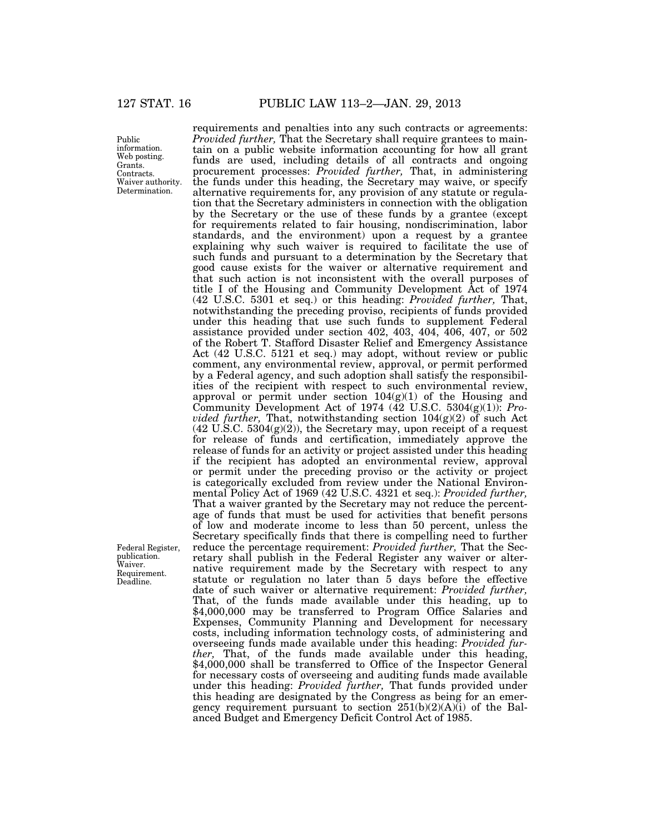Public information. Web posting. Grants. Contracts. Waiver authority. Determination.

Federal Register, publication. Waiver. Requirement. Deadline.

requirements and penalties into any such contracts or agreements: *Provided further,* That the Secretary shall require grantees to maintain on a public website information accounting for how all grant funds are used, including details of all contracts and ongoing procurement processes: *Provided further,* That, in administering the funds under this heading, the Secretary may waive, or specify alternative requirements for, any provision of any statute or regulation that the Secretary administers in connection with the obligation by the Secretary or the use of these funds by a grantee (except for requirements related to fair housing, nondiscrimination, labor standards, and the environment) upon a request by a grantee explaining why such waiver is required to facilitate the use of such funds and pursuant to a determination by the Secretary that good cause exists for the waiver or alternative requirement and that such action is not inconsistent with the overall purposes of title I of the Housing and Community Development Act of 1974 (42 U.S.C. 5301 et seq.) or this heading: *Provided further,* That, notwithstanding the preceding proviso, recipients of funds provided under this heading that use such funds to supplement Federal assistance provided under section 402, 403, 404, 406, 407, or 502 of the Robert T. Stafford Disaster Relief and Emergency Assistance Act (42 U.S.C. 5121 et seq.) may adopt, without review or public comment, any environmental review, approval, or permit performed by a Federal agency, and such adoption shall satisfy the responsibilities of the recipient with respect to such environmental review, approval or permit under section  $104(g)(1)$  of the Housing and Community Development Act of 1974 (42 U.S.C. 5304(g)(1)): *Provided further,* That, notwithstanding section 104(g)(2) of such Act  $(42 \text{ U.S.C. } 5304(g)(2))$ , the Secretary may, upon receipt of a request for release of funds and certification, immediately approve the release of funds for an activity or project assisted under this heading if the recipient has adopted an environmental review, approval or permit under the preceding proviso or the activity or project is categorically excluded from review under the National Environmental Policy Act of 1969 (42 U.S.C. 4321 et seq.): *Provided further,*  That a waiver granted by the Secretary may not reduce the percentage of funds that must be used for activities that benefit persons of low and moderate income to less than 50 percent, unless the Secretary specifically finds that there is compelling need to further reduce the percentage requirement: *Provided further,* That the Secretary shall publish in the Federal Register any waiver or alternative requirement made by the Secretary with respect to any statute or regulation no later than 5 days before the effective date of such waiver or alternative requirement: *Provided further,*  That, of the funds made available under this heading, up to \$4,000,000 may be transferred to Program Office Salaries and Expenses, Community Planning and Development for necessary costs, including information technology costs, of administering and overseeing funds made available under this heading: *Provided further,* That, of the funds made available under this heading, \$4,000,000 shall be transferred to Office of the Inspector General for necessary costs of overseeing and auditing funds made available under this heading: *Provided further,* That funds provided under this heading are designated by the Congress as being for an emergency requirement pursuant to section 251(b)(2)(A)(i) of the Balanced Budget and Emergency Deficit Control Act of 1985.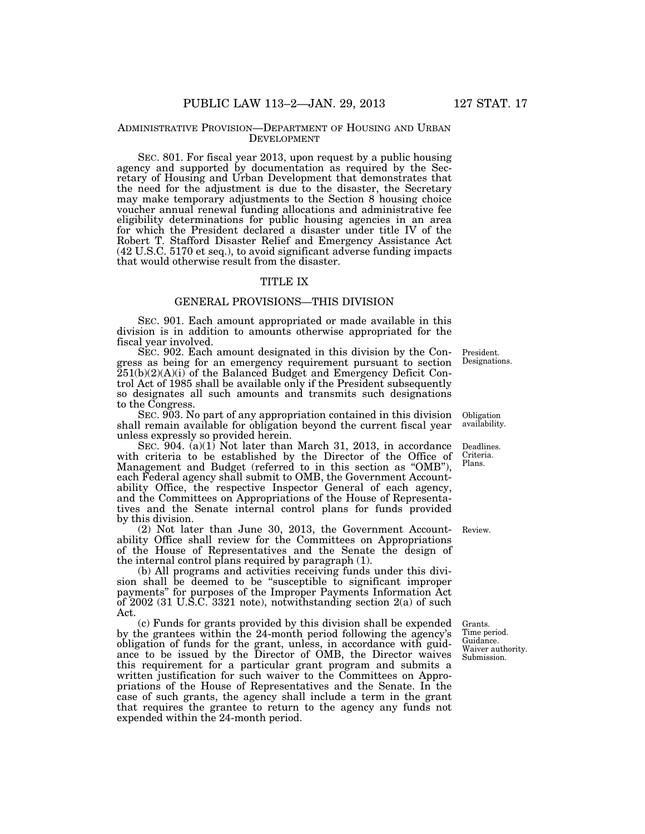#### ADMINISTRATIVE PROVISION—DEPARTMENT OF HOUSING AND URBAN DEVELOPMENT

SEC. 801. For fiscal year 2013, upon request by a public housing agency and supported by documentation as required by the Secretary of Housing and Urban Development that demonstrates that the need for the adjustment is due to the disaster, the Secretary may make temporary adjustments to the Section 8 housing choice voucher annual renewal funding allocations and administrative fee eligibility determinations for public housing agencies in an area for which the President declared a disaster under title IV of the Robert T. Stafford Disaster Relief and Emergency Assistance Act (42 U.S.C. 5170 et seq.), to avoid significant adverse funding impacts that would otherwise result from the disaster.

### TITLE IX

### GENERAL PROVISIONS—THIS DIVISION

SEC. 901. Each amount appropriated or made available in this division is in addition to amounts otherwise appropriated for the fiscal year involved.

SEC. 902. Each amount designated in this division by the Congress as being for an emergency requirement pursuant to section  $251(b)(2)(A)(i)$  of the Balanced Budget and Emergency Deficit Control Act of 1985 shall be available only if the President subsequently so designates all such amounts and transmits such designations to the Congress.

SEC. 903. No part of any appropriation contained in this division shall remain available for obligation beyond the current fiscal year unless expressly so provided herein.

SEC. 904. (a)(1) Not later than March 31, 2013, in accordance with criteria to be established by the Director of the Office of Management and Budget (referred to in this section as ''OMB''), each Federal agency shall submit to OMB, the Government Accountability Office, the respective Inspector General of each agency, and the Committees on Appropriations of the House of Representatives and the Senate internal control plans for funds provided by this division.

(2) Not later than June 30, 2013, the Government Account-Review. ability Office shall review for the Committees on Appropriations of the House of Representatives and the Senate the design of the internal control plans required by paragraph (1).

(b) All programs and activities receiving funds under this division shall be deemed to be ''susceptible to significant improper payments'' for purposes of the Improper Payments Information Act of 2002 (31 U.S.C. 3321 note), notwithstanding section 2(a) of such Act.

(c) Funds for grants provided by this division shall be expended by the grantees within the 24-month period following the agency's obligation of funds for the grant, unless, in accordance with guidance to be issued by the Director of OMB, the Director waives this requirement for a particular grant program and submits a written justification for such waiver to the Committees on Appropriations of the House of Representatives and the Senate. In the case of such grants, the agency shall include a term in the grant that requires the grantee to return to the agency any funds not expended within the 24-month period.

Grants. Time period. Guidance. Waiver authority. Submission.

Designations.

President.

Obligation availability.

Deadlines. Criteria. Plans.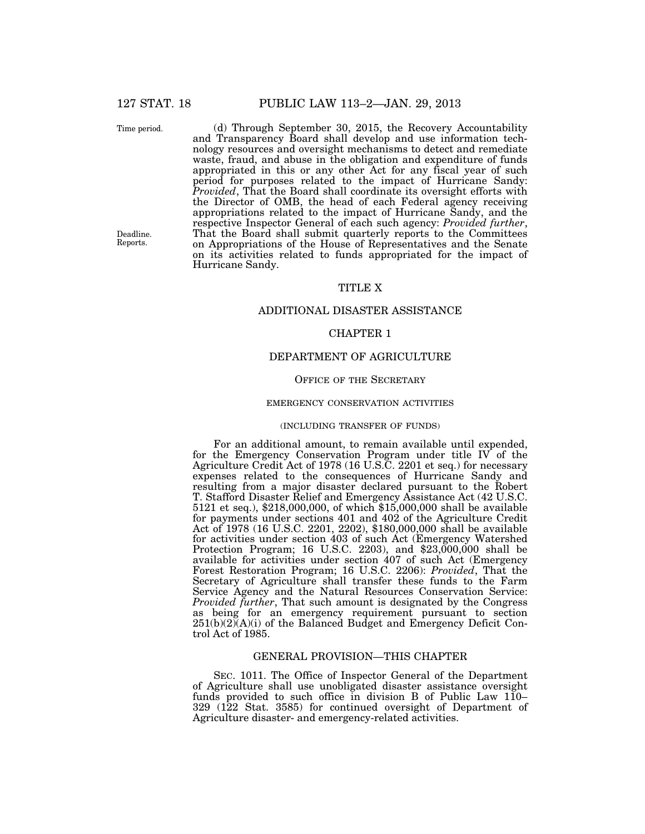Time period.

Deadline. Reports.

(d) Through September 30, 2015, the Recovery Accountability and Transparency Board shall develop and use information technology resources and oversight mechanisms to detect and remediate waste, fraud, and abuse in the obligation and expenditure of funds appropriated in this or any other Act for any fiscal year of such period for purposes related to the impact of Hurricane Sandy: *Provided*, That the Board shall coordinate its oversight efforts with the Director of OMB, the head of each Federal agency receiving appropriations related to the impact of Hurricane Sandy, and the respective Inspector General of each such agency: *Provided further*, That the Board shall submit quarterly reports to the Committees on Appropriations of the House of Representatives and the Senate on its activities related to funds appropriated for the impact of Hurricane Sandy.

### TITLE X

#### ADDITIONAL DISASTER ASSISTANCE

### CHAPTER 1

#### DEPARTMENT OF AGRICULTURE

#### OFFICE OF THE SECRETARY

#### EMERGENCY CONSERVATION ACTIVITIES

#### (INCLUDING TRANSFER OF FUNDS)

For an additional amount, to remain available until expended, for the Emergency Conservation Program under title IV of the Agriculture Credit Act of 1978 (16 U.S.C. 2201 et seq.) for necessary expenses related to the consequences of Hurricane Sandy and resulting from a major disaster declared pursuant to the Robert T. Stafford Disaster Relief and Emergency Assistance Act (42 U.S.C. 5121 et seq.), \$218,000,000, of which \$15,000,000 shall be available for payments under sections 401 and 402 of the Agriculture Credit Act of 1978 (16 U.S.C. 2201, 2202), \$180,000,000 shall be available for activities under section 403 of such Act (Emergency Watershed Protection Program; 16 U.S.C. 2203), and \$23,000,000 shall be available for activities under section 407 of such Act (Emergency Forest Restoration Program; 16 U.S.C. 2206): *Provided*, That the Secretary of Agriculture shall transfer these funds to the Farm Service Agency and the Natural Resources Conservation Service: *Provided further*, That such amount is designated by the Congress as being for an emergency requirement pursuant to section  $251(b)(2)(A)(i)$  of the Balanced Budget and Emergency Deficit Control Act of 1985.

### GENERAL PROVISION—THIS CHAPTER

SEC. 1011. The Office of Inspector General of the Department of Agriculture shall use unobligated disaster assistance oversight funds provided to such office in division B of Public Law 110– 329 (122 Stat. 3585) for continued oversight of Department of Agriculture disaster- and emergency-related activities.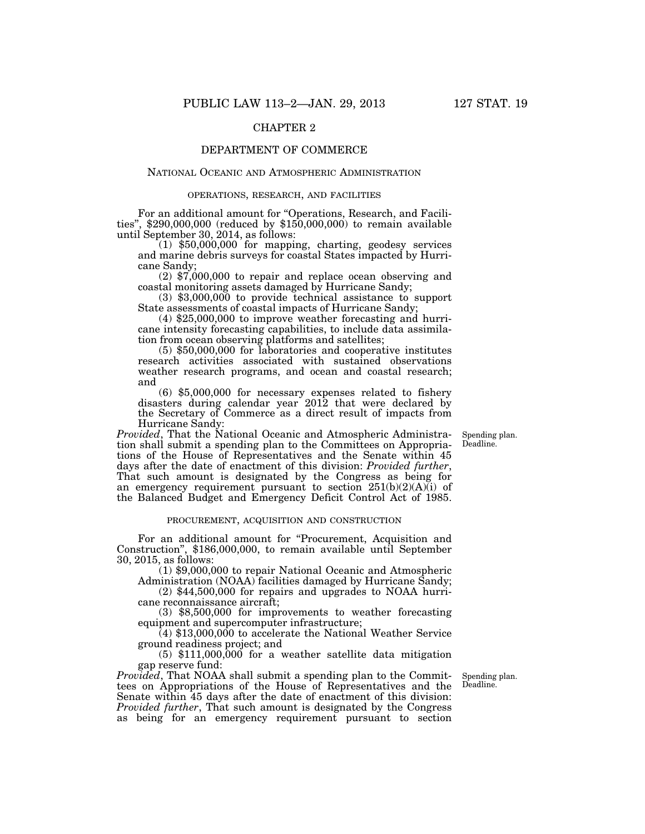### CHAPTER 2

### DEPARTMENT OF COMMERCE

#### NATIONAL OCEANIC AND ATMOSPHERIC ADMINISTRATION

#### OPERATIONS, RESEARCH, AND FACILITIES

For an additional amount for "Operations, Research, and Facilities", \$290,000,000 (reduced by \$150,000,000) to remain available until September 30, 2014, as follows:

 $(1)$  \$50,000,000 for mapping, charting, geodesy services and marine debris surveys for coastal States impacted by Hurri-

 $(2)$  \$7,000,000 to repair and replace ocean observing and coastal monitoring assets damaged by Hurricane Sandy;

 $(3)$  \$3,000,000 to provide technical assistance to support State assessments of coastal impacts of Hurricane Sandy;

 $(4)$  \$25,000,000 to improve weather forecasting and hurricane intensity forecasting capabilities, to include data assimilation from ocean observing platforms and satellites; (5) \$50,000,000 for laboratories and cooperative institutes

research activities associated with sustained observations weather research programs, and ocean and coastal research; and

(6) \$5,000,000 for necessary expenses related to fishery disasters during calendar year 2012 that were declared by the Secretary of Commerce as a direct result of impacts from Hurricane Sandy:

> Spending plan. Deadline.

*Provided*, That the National Oceanic and Atmospheric Administration shall submit a spending plan to the Committees on Appropriations of the House of Representatives and the Senate within 45 days after the date of enactment of this division: *Provided further*, That such amount is designated by the Congress as being for an emergency requirement pursuant to section  $251(b)(2)(A)(i)$  of the Balanced Budget and Emergency Deficit Control Act of 1985.

#### PROCUREMENT, ACQUISITION AND CONSTRUCTION

For an additional amount for "Procurement, Acquisition and Construction'', \$186,000,000, to remain available until September 30, 2015, as follows:

(1) \$9,000,000 to repair National Oceanic and Atmospheric Administration (NOAA) facilities damaged by Hurricane Sandy;

(2) \$44,500,000 for repairs and upgrades to NOAA hurricane reconnaissance aircraft;

(3) \$8,500,000 for improvements to weather forecasting equipment and supercomputer infrastructure;

(4) \$13,000,000 to accelerate the National Weather Service ground readiness project; and

(5) \$111,000,000 for a weather satellite data mitigation gap reserve fund:

*Provided*, That NOAA shall submit a spending plan to the Committees on Appropriations of the House of Representatives and the Senate within 45 days after the date of enactment of this division: *Provided further*, That such amount is designated by the Congress as being for an emergency requirement pursuant to section

Spending plan. Deadline.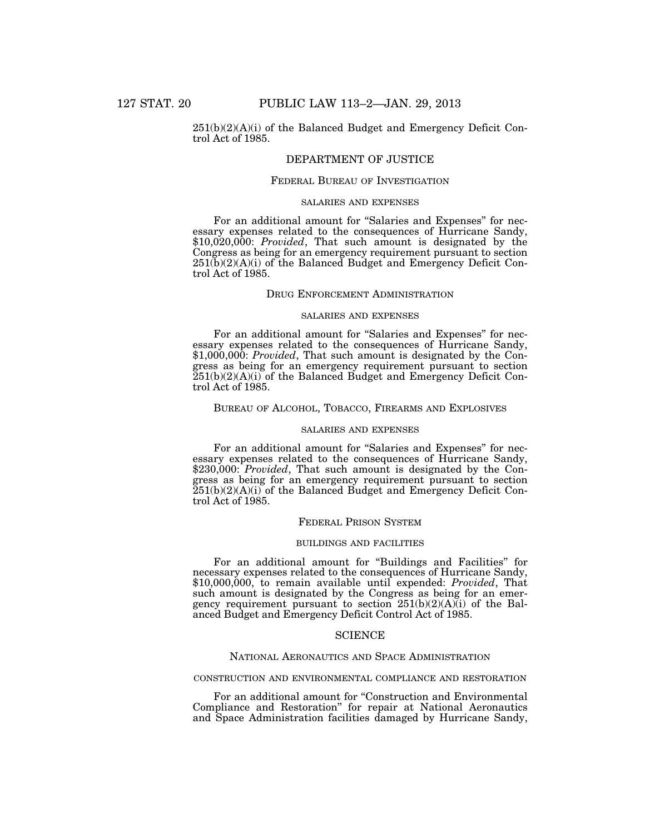#### $251(b)(2)(A)(i)$  of the Balanced Budget and Emergency Deficit Control Act of 1985.

### DEPARTMENT OF JUSTICE

#### FEDERAL BUREAU OF INVESTIGATION

#### SALARIES AND EXPENSES

For an additional amount for "Salaries and Expenses" for necessary expenses related to the consequences of Hurricane Sandy, \$10,020,000: *Provided*, That such amount is designated by the Congress as being for an emergency requirement pursuant to section  $251(b)(2)(A)(i)$  of the Balanced Budget and Emergency Deficit Control Act of 1985.

#### DRUG ENFORCEMENT ADMINISTRATION

#### SALARIES AND EXPENSES

For an additional amount for "Salaries and Expenses" for necessary expenses related to the consequences of Hurricane Sandy, \$1,000,000: *Provided*, That such amount is designated by the Congress as being for an emergency requirement pursuant to section  $251(b)(2)(A)(i)$  of the Balanced Budget and Emergency Deficit Control Act of 1985.

#### BUREAU OF ALCOHOL, TOBACCO, FIREARMS AND EXPLOSIVES

#### SALARIES AND EXPENSES

For an additional amount for "Salaries and Expenses" for necessary expenses related to the consequences of Hurricane Sandy, \$230,000: *Provided*, That such amount is designated by the Congress as being for an emergency requirement pursuant to section  $251(b)(2)(A)(i)$  of the Balanced Budget and Emergency Deficit Control Act of 1985.

#### FEDERAL PRISON SYSTEM

#### BUILDINGS AND FACILITIES

For an additional amount for ''Buildings and Facilities'' for necessary expenses related to the consequences of Hurricane Sandy, \$10,000,000, to remain available until expended: *Provided*, That such amount is designated by the Congress as being for an emergency requirement pursuant to section  $251(b)(2)(A)(i)$  of the Balanced Budget and Emergency Deficit Control Act of 1985.

#### **SCIENCE**

#### NATIONAL AERONAUTICS AND SPACE ADMINISTRATION

#### CONSTRUCTION AND ENVIRONMENTAL COMPLIANCE AND RESTORATION

For an additional amount for "Construction and Environmental Compliance and Restoration'' for repair at National Aeronautics and Space Administration facilities damaged by Hurricane Sandy,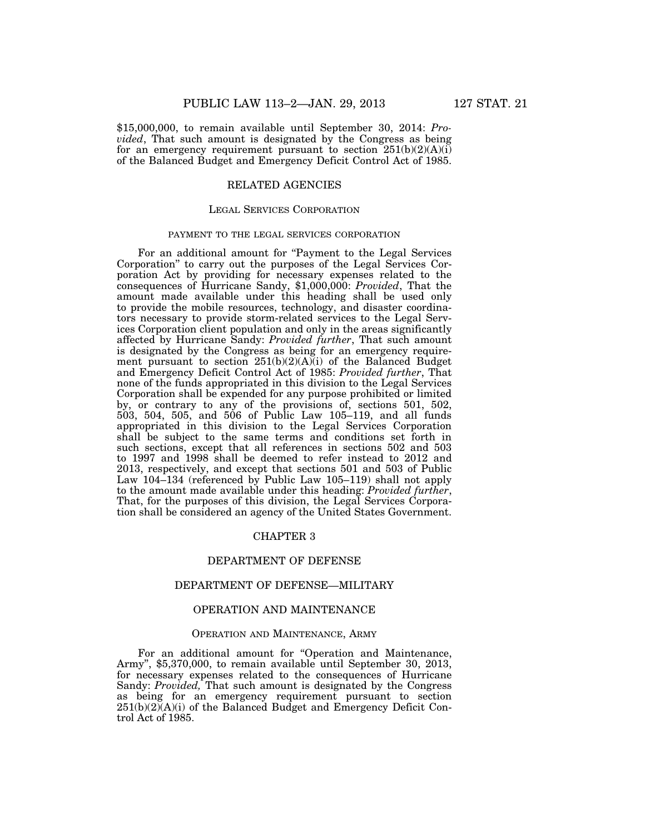\$15,000,000, to remain available until September 30, 2014: *Provided*, That such amount is designated by the Congress as being for an emergency requirement pursuant to section  $251(b)(2)(A)(i)$ of the Balanced Budget and Emergency Deficit Control Act of 1985.

### RELATED AGENCIES

### LEGAL SERVICES CORPORATION

#### PAYMENT TO THE LEGAL SERVICES CORPORATION

For an additional amount for "Payment to the Legal Services" Corporation'' to carry out the purposes of the Legal Services Corporation Act by providing for necessary expenses related to the consequences of Hurricane Sandy, \$1,000,000: *Provided*, That the amount made available under this heading shall be used only to provide the mobile resources, technology, and disaster coordinators necessary to provide storm-related services to the Legal Services Corporation client population and only in the areas significantly affected by Hurricane Sandy: *Provided further*, That such amount is designated by the Congress as being for an emergency requirement pursuant to section 251(b)(2)(A)(i) of the Balanced Budget and Emergency Deficit Control Act of 1985: *Provided further*, That none of the funds appropriated in this division to the Legal Services Corporation shall be expended for any purpose prohibited or limited by, or contrary to any of the provisions of, sections 501, 502, 503, 504, 505, and 506 of Public Law 105–119, and all funds appropriated in this division to the Legal Services Corporation shall be subject to the same terms and conditions set forth in such sections, except that all references in sections 502 and 503 to 1997 and 1998 shall be deemed to refer instead to 2012 and 2013, respectively, and except that sections 501 and 503 of Public Law 104–134 (referenced by Public Law 105–119) shall not apply to the amount made available under this heading: *Provided further*, That, for the purposes of this division, the Legal Services Corporation shall be considered an agency of the United States Government.

### CHAPTER 3

### DEPARTMENT OF DEFENSE

### DEPARTMENT OF DEFENSE—MILITARY

### OPERATION AND MAINTENANCE

#### OPERATION AND MAINTENANCE, ARMY

For an additional amount for "Operation and Maintenance, Army'', \$5,370,000, to remain available until September 30, 2013, for necessary expenses related to the consequences of Hurricane Sandy: *Provided,* That such amount is designated by the Congress as being for an emergency requirement pursuant to section  $251(b)(2)(A)(i)$  of the Balanced Budget and Emergency Deficit Control Act of 1985.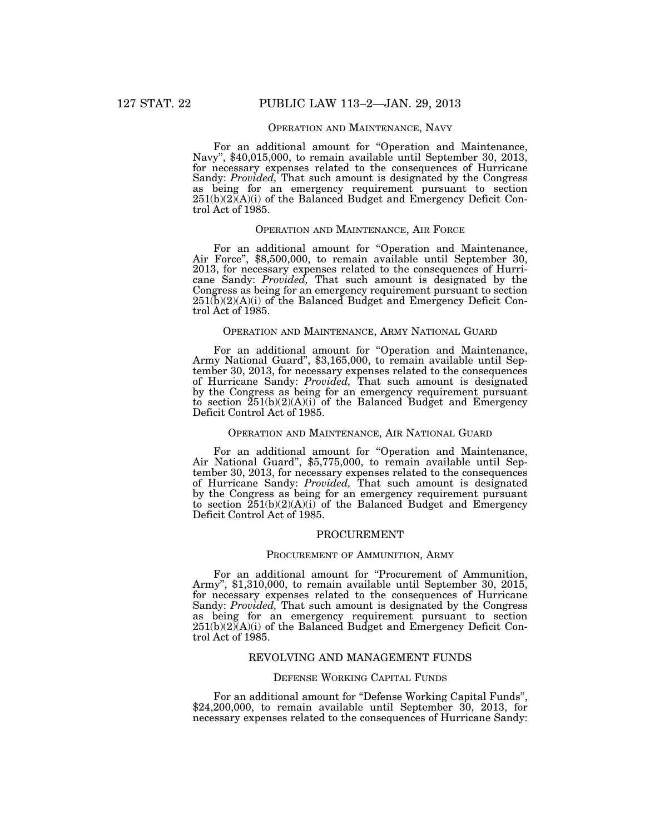#### OPERATION AND MAINTENANCE, NAVY

For an additional amount for "Operation and Maintenance, Navy", \$40,015,000, to remain available until September 30, 2013, for necessary expenses related to the consequences of Hurricane Sandy: *Provided,* That such amount is designated by the Congress as being for an emergency requirement pursuant to section  $251(b)(2)(A)(i)$  of the Balanced Budget and Emergency Deficit Control Act of 1985.

### OPERATION AND MAINTENANCE, AIR FORCE

For an additional amount for "Operation and Maintenance, Air Force", \$8,500,000, to remain available until September 30, 2013, for necessary expenses related to the consequences of Hurricane Sandy: *Provided,* That such amount is designated by the Congress as being for an emergency requirement pursuant to section  $251(b)(2)(A)(i)$  of the Balanced Budget and Emergency Deficit Control Act of 1985.

#### OPERATION AND MAINTENANCE, ARMY NATIONAL GUARD

For an additional amount for ''Operation and Maintenance, Army National Guard'', \$3,165,000, to remain available until September 30, 2013, for necessary expenses related to the consequences of Hurricane Sandy: *Provided,* That such amount is designated by the Congress as being for an emergency requirement pursuant to section  $251(b)(2)(A)(i)$  of the Balanced Budget and Emergency Deficit Control Act of 1985.

### OPERATION AND MAINTENANCE, AIR NATIONAL GUARD

For an additional amount for "Operation and Maintenance, Air National Guard", \$5,775,000, to remain available until September 30, 2013, for necessary expenses related to the consequences of Hurricane Sandy: *Provided,* That such amount is designated by the Congress as being for an emergency requirement pursuant to section 251(b)(2)(A)(i) of the Balanced Budget and Emergency Deficit Control Act of 1985.

#### PROCUREMENT

#### PROCUREMENT OF AMMUNITION, ARMY

For an additional amount for "Procurement of Ammunition, Army'', \$1,310,000, to remain available until September 30, 2015, for necessary expenses related to the consequences of Hurricane Sandy: *Provided,* That such amount is designated by the Congress as being for an emergency requirement pursuant to section 251(b)(2)(A)(i) of the Balanced Budget and Emergency Deficit Control Act of 1985.

#### REVOLVING AND MANAGEMENT FUNDS

#### DEFENSE WORKING CAPITAL FUNDS

For an additional amount for ''Defense Working Capital Funds'', \$24,200,000, to remain available until September 30, 2013, for necessary expenses related to the consequences of Hurricane Sandy: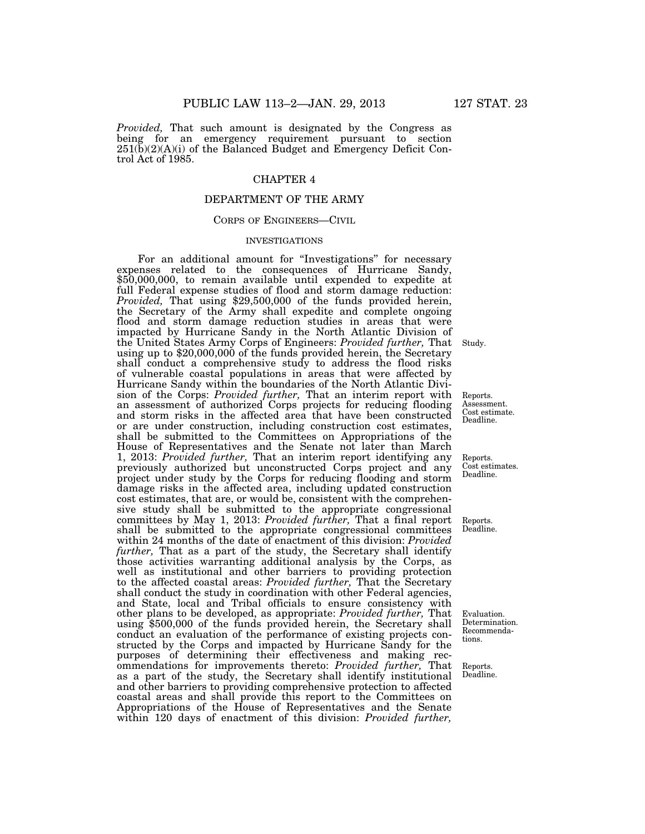*Provided,* That such amount is designated by the Congress as being for an emergency requirement pursuant to section 251(b)(2)(A)(i) of the Balanced Budget and Emergency Deficit Control Act of 1985.

### CHAPTER 4

## DEPARTMENT OF THE ARMY

#### CORPS OF ENGINEERS—CIVIL

#### INVESTIGATIONS

For an additional amount for "Investigations" for necessary expenses related to the consequences of Hurricane Sandy, \$50,000,000, to remain available until expended to expedite at full Federal expense studies of flood and storm damage reduction: *Provided,* That using \$29,500,000 of the funds provided herein, the Secretary of the Army shall expedite and complete ongoing flood and storm damage reduction studies in areas that were impacted by Hurricane Sandy in the North Atlantic Division of the United States Army Corps of Engineers: *Provided further,* That using up to \$20,000,000 of the funds provided herein, the Secretary shall conduct a comprehensive study to address the flood risks of vulnerable coastal populations in areas that were affected by Hurricane Sandy within the boundaries of the North Atlantic Division of the Corps: *Provided further,* That an interim report with an assessment of authorized Corps projects for reducing flooding and storm risks in the affected area that have been constructed or are under construction, including construction cost estimates, shall be submitted to the Committees on Appropriations of the House of Representatives and the Senate not later than March 1, 2013: *Provided further,* That an interim report identifying any previously authorized but unconstructed Corps project and any project under study by the Corps for reducing flooding and storm damage risks in the affected area, including updated construction cost estimates, that are, or would be, consistent with the comprehensive study shall be submitted to the appropriate congressional committees by May 1, 2013: *Provided further,* That a final report shall be submitted to the appropriate congressional committees within 24 months of the date of enactment of this division: *Provided further,* That as a part of the study, the Secretary shall identify those activities warranting additional analysis by the Corps, as well as institutional and other barriers to providing protection to the affected coastal areas: *Provided further,* That the Secretary shall conduct the study in coordination with other Federal agencies, and State, local and Tribal officials to ensure consistency with other plans to be developed, as appropriate: *Provided further,* That using \$500,000 of the funds provided herein, the Secretary shall conduct an evaluation of the performance of existing projects constructed by the Corps and impacted by Hurricane Sandy for the purposes of determining their effectiveness and making recommendations for improvements thereto: *Provided further,* That as a part of the study, the Secretary shall identify institutional and other barriers to providing comprehensive protection to affected coastal areas and shall provide this report to the Committees on Appropriations of the House of Representatives and the Senate within 120 days of enactment of this division: *Provided further,* 

Study.

Reports. Assessment. Cost estimate. Deadline.

Reports. Cost estimates. Deadline.

Reports. Deadline.

Evaluation. Determination. Recommendations.

Reports. Deadline.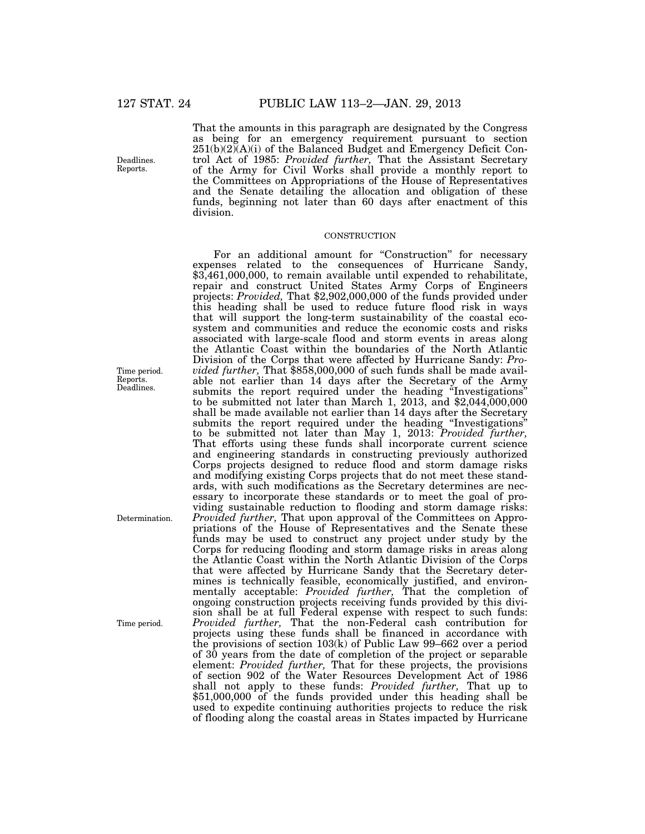That the amounts in this paragraph are designated by the Congress as being for an emergency requirement pursuant to section 251(b)(2)(A)(i) of the Balanced Budget and Emergency Deficit Control Act of 1985: *Provided further,* That the Assistant Secretary of the Army for Civil Works shall provide a monthly report to the Committees on Appropriations of the House of Representatives and the Senate detailing the allocation and obligation of these funds, beginning not later than 60 days after enactment of this division.

#### **CONSTRUCTION**

For an additional amount for "Construction" for necessary expenses related to the consequences of Hurricane Sandy, \$3,461,000,000, to remain available until expended to rehabilitate, repair and construct United States Army Corps of Engineers projects: *Provided,* That \$2,902,000,000 of the funds provided under this heading shall be used to reduce future flood risk in ways that will support the long-term sustainability of the coastal ecosystem and communities and reduce the economic costs and risks associated with large-scale flood and storm events in areas along the Atlantic Coast within the boundaries of the North Atlantic Division of the Corps that were affected by Hurricane Sandy: *Provided further,* That \$858,000,000 of such funds shall be made available not earlier than 14 days after the Secretary of the Army submits the report required under the heading "Investigations" to be submitted not later than March 1, 2013, and \$2,044,000,000 shall be made available not earlier than 14 days after the Secretary submits the report required under the heading ''Investigations'' to be submitted not later than May 1, 2013: *Provided further,*  That efforts using these funds shall incorporate current science and engineering standards in constructing previously authorized Corps projects designed to reduce flood and storm damage risks and modifying existing Corps projects that do not meet these standards, with such modifications as the Secretary determines are necessary to incorporate these standards or to meet the goal of providing sustainable reduction to flooding and storm damage risks: *Provided further,* That upon approval of the Committees on Appropriations of the House of Representatives and the Senate these funds may be used to construct any project under study by the Corps for reducing flooding and storm damage risks in areas along the Atlantic Coast within the North Atlantic Division of the Corps that were affected by Hurricane Sandy that the Secretary determines is technically feasible, economically justified, and environmentally acceptable: *Provided further,* That the completion of ongoing construction projects receiving funds provided by this division shall be at full Federal expense with respect to such funds: *Provided further,* That the non-Federal cash contribution for projects using these funds shall be financed in accordance with the provisions of section 103(k) of Public Law 99–662 over a period of 30 years from the date of completion of the project or separable element: *Provided further,* That for these projects, the provisions of section 902 of the Water Resources Development Act of 1986 shall not apply to these funds: *Provided further,* That up to  $$51,000,000$  of the funds provided under this heading shall be used to expedite continuing authorities projects to reduce the risk of flooding along the coastal areas in States impacted by Hurricane

Deadlines. Reports.

Time period. Reports. Deadlines.

Determination.

Time period.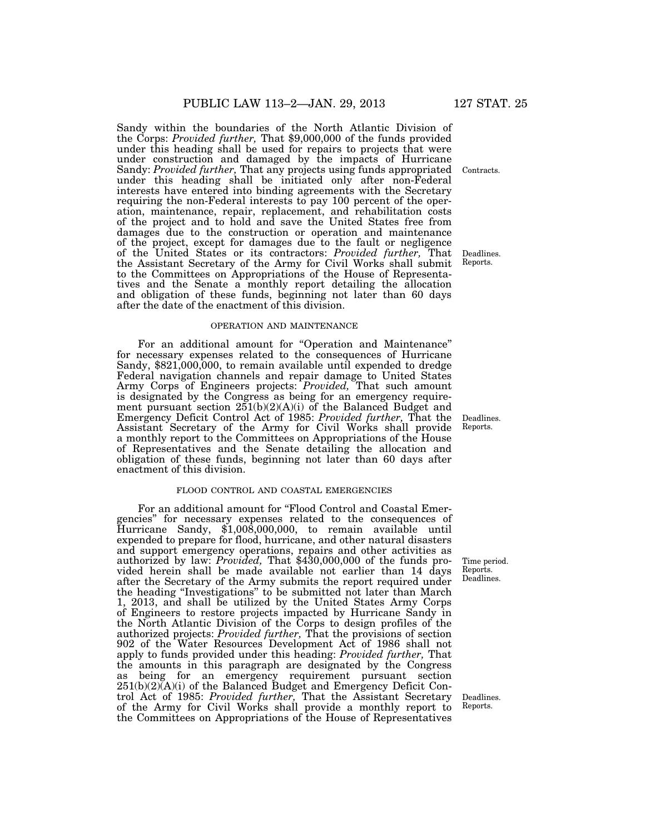Sandy within the boundaries of the North Atlantic Division of the Corps: *Provided further,* That \$9,000,000 of the funds provided under this heading shall be used for repairs to projects that were under construction and damaged by the impacts of Hurricane Sandy: *Provided further,* That any projects using funds appropriated under this heading shall be initiated only after non-Federal interests have entered into binding agreements with the Secretary requiring the non-Federal interests to pay 100 percent of the operation, maintenance, repair, replacement, and rehabilitation costs of the project and to hold and save the United States free from damages due to the construction or operation and maintenance of the project, except for damages due to the fault or negligence of the United States or its contractors: *Provided further,* That the Assistant Secretary of the Army for Civil Works shall submit to the Committees on Appropriations of the House of Representatives and the Senate a monthly report detailing the allocation and obligation of these funds, beginning not later than 60 days after the date of the enactment of this division.

#### OPERATION AND MAINTENANCE

For an additional amount for ''Operation and Maintenance'' for necessary expenses related to the consequences of Hurricane Sandy, \$821,000,000, to remain available until expended to dredge Federal navigation channels and repair damage to United States Army Corps of Engineers projects: *Provided,* That such amount is designated by the Congress as being for an emergency requirement pursuant section 251(b)(2)(A)(i) of the Balanced Budget and Emergency Deficit Control Act of 1985: *Provided further,* That the Assistant Secretary of the Army for Civil Works shall provide a monthly report to the Committees on Appropriations of the House of Representatives and the Senate detailing the allocation and obligation of these funds, beginning not later than 60 days after enactment of this division.

#### FLOOD CONTROL AND COASTAL EMERGENCIES

For an additional amount for "Flood Control and Coastal Emergencies'' for necessary expenses related to the consequences of Hurricane Sandy, \$1,008,000,000, to remain available until expended to prepare for flood, hurricane, and other natural disasters and support emergency operations, repairs and other activities as authorized by law: *Provided,* That \$430,000,000 of the funds provided herein shall be made available not earlier than 14 days after the Secretary of the Army submits the report required under the heading ''Investigations'' to be submitted not later than March 1, 2013, and shall be utilized by the United States Army Corps of Engineers to restore projects impacted by Hurricane Sandy in the North Atlantic Division of the Corps to design profiles of the authorized projects: *Provided further,* That the provisions of section 902 of the Water Resources Development Act of 1986 shall not apply to funds provided under this heading: *Provided further,* That the amounts in this paragraph are designated by the Congress as being for an emergency requirement pursuant section  $251(b)(2)$  $\bar{(A)}$ (i) of the Balanced Budget and Emergency Deficit Control Act of 1985: *Provided further,* That the Assistant Secretary of the Army for Civil Works shall provide a monthly report to the Committees on Appropriations of the House of Representatives

Contracts.

Deadlines. Reports.

Deadlines. Reports.

Time period. Reports. Deadlines.

Deadlines. Reports.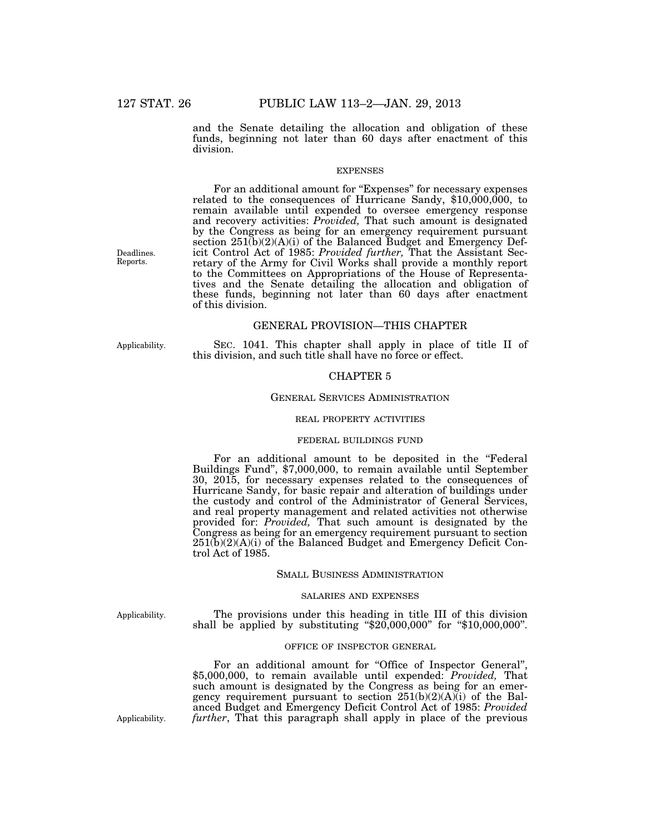and the Senate detailing the allocation and obligation of these funds, beginning not later than 60 days after enactment of this division.

#### EXPENSES

For an additional amount for "Expenses" for necessary expenses related to the consequences of Hurricane Sandy, \$10,000,000, to remain available until expended to oversee emergency response and recovery activities: *Provided,* That such amount is designated by the Congress as being for an emergency requirement pursuant section  $251(b)(2)(A)(i)$  of the Balanced Budget and Emergency Deficit Control Act of 1985: *Provided further,* That the Assistant Secretary of the Army for Civil Works shall provide a monthly report to the Committees on Appropriations of the House of Representatives and the Senate detailing the allocation and obligation of these funds, beginning not later than 60 days after enactment of this division.

### GENERAL PROVISION—THIS CHAPTER

Applicability.

SEC. 1041. This chapter shall apply in place of title II of this division, and such title shall have no force or effect.

### CHAPTER 5

#### GENERAL SERVICES ADMINISTRATION

#### REAL PROPERTY ACTIVITIES

#### FEDERAL BUILDINGS FUND

For an additional amount to be deposited in the "Federal" Buildings Fund'', \$7,000,000, to remain available until September 30, 2015, for necessary expenses related to the consequences of Hurricane Sandy, for basic repair and alteration of buildings under the custody and control of the Administrator of General Services, and real property management and related activities not otherwise provided for: *Provided,* That such amount is designated by the Congress as being for an emergency requirement pursuant to section  $251(b)(2)(A)(i)$  of the Balanced Budget and Emergency Deficit Control Act of 1985.

#### SMALL BUSINESS ADMINISTRATION

#### SALARIES AND EXPENSES

Applicability.

The provisions under this heading in title III of this division shall be applied by substituting "\$20,000,000" for "\$10,000,000".

#### OFFICE OF INSPECTOR GENERAL

For an additional amount for "Office of Inspector General", \$5,000,000, to remain available until expended: *Provided,* That such amount is designated by the Congress as being for an emergency requirement pursuant to section  $251(b)(2)(A)(i)$  of the Balanced Budget and Emergency Deficit Control Act of 1985: *Provided*  Applicability. *further*, That this paragraph shall apply in place of the previous

Deadlines. Reports.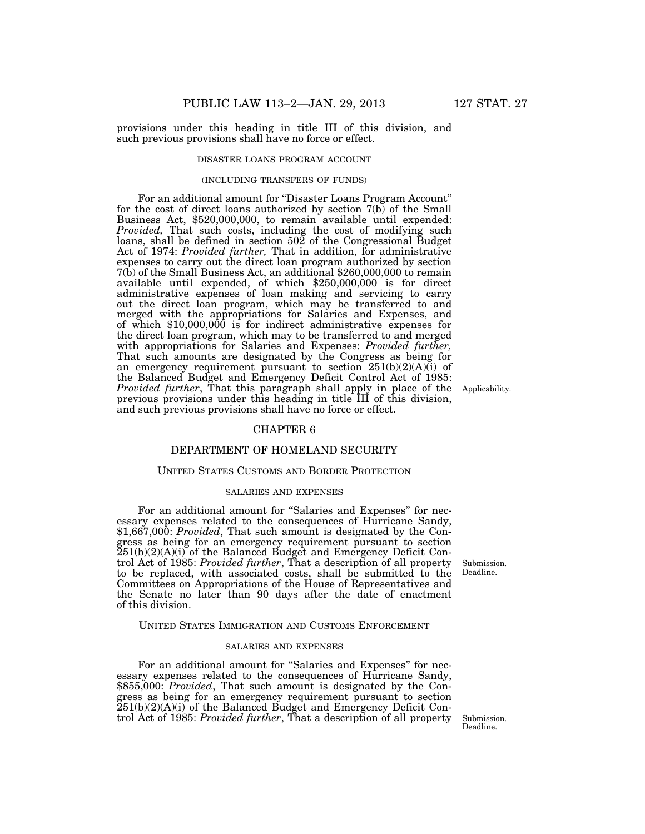provisions under this heading in title III of this division, and such previous provisions shall have no force or effect.

#### DISASTER LOANS PROGRAM ACCOUNT

#### (INCLUDING TRANSFERS OF FUNDS)

For an additional amount for ''Disaster Loans Program Account'' for the cost of direct loans authorized by section  $7(b)$  of the Small Business Act, \$520,000,000, to remain available until expended: *Provided,* That such costs, including the cost of modifying such loans, shall be defined in section  $50\overline{2}$  of the Congressional Budget Act of 1974: *Provided further,* That in addition, for administrative expenses to carry out the direct loan program authorized by section 7(b) of the Small Business Act, an additional \$260,000,000 to remain available until expended, of which \$250,000,000 is for direct administrative expenses of loan making and servicing to carry out the direct loan program, which may be transferred to and merged with the appropriations for Salaries and Expenses, and of which \$10,000,000 is for indirect administrative expenses for the direct loan program, which may to be transferred to and merged with appropriations for Salaries and Expenses: *Provided further,*  That such amounts are designated by the Congress as being for an emergency requirement pursuant to section  $251(b)(2)(A)(i)$  of the Balanced Budget and Emergency Deficit Control Act of 1985: *Provided further*, That this paragraph shall apply in place of the previous provisions under this heading in title III of this division, and such previous provisions shall have no force or effect.

### CHAPTER 6

#### DEPARTMENT OF HOMELAND SECURITY

#### UNITED STATES CUSTOMS AND BORDER PROTECTION

#### SALARIES AND EXPENSES

For an additional amount for "Salaries and Expenses" for necessary expenses related to the consequences of Hurricane Sandy, \$1,667,000: *Provided*, That such amount is designated by the Congress as being for an emergency requirement pursuant to section 251(b)(2)(A)(i) of the Balanced Budget and Emergency Deficit Control Act of 1985: *Provided further*, That a description of all property to be replaced, with associated costs, shall be submitted to the Committees on Appropriations of the House of Representatives and the Senate no later than 90 days after the date of enactment of this division.

#### UNITED STATES IMMIGRATION AND CUSTOMS ENFORCEMENT

#### SALARIES AND EXPENSES

For an additional amount for "Salaries and Expenses" for necessary expenses related to the consequences of Hurricane Sandy, \$855,000: *Provided*, That such amount is designated by the Congress as being for an emergency requirement pursuant to section 251(b)(2)(A)(i) of the Balanced Budget and Emergency Deficit Control Act of 1985: *Provided further*, That a description of all property Submission.

Submission. Deadline.

Deadline.

Applicability.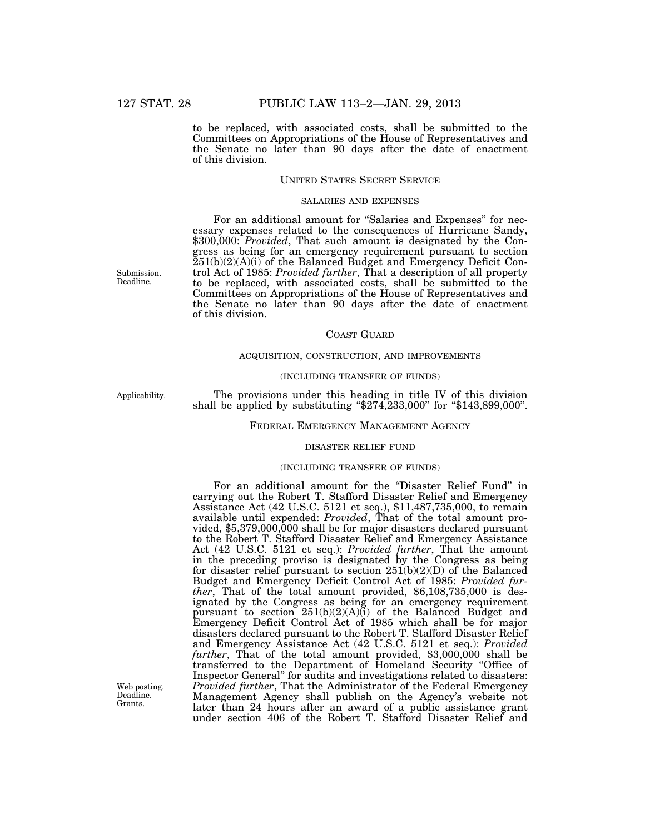to be replaced, with associated costs, shall be submitted to the Committees on Appropriations of the House of Representatives and the Senate no later than 90 days after the date of enactment of this division.

#### UNITED STATES SECRET SERVICE

#### SALARIES AND EXPENSES

For an additional amount for "Salaries and Expenses" for necessary expenses related to the consequences of Hurricane Sandy, \$300,000: *Provided*, That such amount is designated by the Congress as being for an emergency requirement pursuant to section 251(b)(2)(A)(i) of the Balanced Budget and Emergency Deficit Control Act of 1985: *Provided further*, That a description of all property to be replaced, with associated costs, shall be submitted to the Committees on Appropriations of the House of Representatives and the Senate no later than 90 days after the date of enactment of this division.

#### COAST GUARD

### ACQUISITION, CONSTRUCTION, AND IMPROVEMENTS

#### (INCLUDING TRANSFER OF FUNDS)

Applicability.

Submission. Deadline.

> The provisions under this heading in title IV of this division shall be applied by substituting ''\$274,233,000'' for ''\$143,899,000''.

#### FEDERAL EMERGENCY MANAGEMENT AGENCY

#### DISASTER RELIEF FUND

#### (INCLUDING TRANSFER OF FUNDS)

For an additional amount for the ''Disaster Relief Fund'' in carrying out the Robert T. Stafford Disaster Relief and Emergency Assistance Act (42 U.S.C. 5121 et seq.), \$11,487,735,000, to remain available until expended: *Provided*, That of the total amount provided, \$5,379,000,000 shall be for major disasters declared pursuant to the Robert T. Stafford Disaster Relief and Emergency Assistance Act (42 U.S.C. 5121 et seq.): *Provided further*, That the amount in the preceding proviso is designated by the Congress as being for disaster relief pursuant to section  $25I(b)(2)(D)$  of the Balanced Budget and Emergency Deficit Control Act of 1985: *Provided further*, That of the total amount provided, \$6,108,735,000 is designated by the Congress as being for an emergency requirement pursuant to section 251(b)(2)(A)(i) of the Balanced Budget and Emergency Deficit Control Act of 1985 which shall be for major disasters declared pursuant to the Robert T. Stafford Disaster Relief and Emergency Assistance Act (42 U.S.C. 5121 et seq.): *Provided further*, That of the total amount provided, \$3,000,000 shall be transferred to the Department of Homeland Security ''Office of Inspector General'' for audits and investigations related to disasters: *Provided further*, That the Administrator of the Federal Emergency Management Agency shall publish on the Agency's website not later than 24 hours after an award of a public assistance grant under section 406 of the Robert T. Stafford Disaster Relief and

Web posting. Deadline. Grants.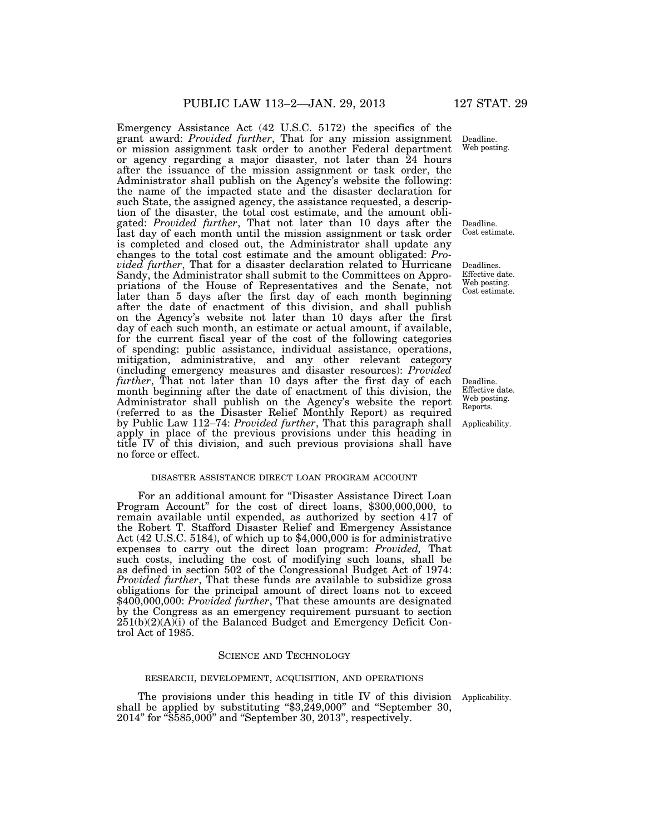Emergency Assistance Act (42 U.S.C. 5172) the specifics of the grant award: *Provided further*, That for any mission assignment or mission assignment task order to another Federal department or agency regarding a major disaster, not later than 24 hours after the issuance of the mission assignment or task order, the Administrator shall publish on the Agency's website the following: the name of the impacted state and the disaster declaration for such State, the assigned agency, the assistance requested, a description of the disaster, the total cost estimate, and the amount obligated: *Provided further*, That not later than 10 days after the last day of each month until the mission assignment or task order is completed and closed out, the Administrator shall update any changes to the total cost estimate and the amount obligated: *Provided further*, That for a disaster declaration related to Hurricane Sandy, the Administrator shall submit to the Committees on Appropriations of the House of Representatives and the Senate, not later than 5 days after the first day of each month beginning after the date of enactment of this division, and shall publish on the Agency's website not later than 10 days after the first day of each such month, an estimate or actual amount, if available, for the current fiscal year of the cost of the following categories of spending: public assistance, individual assistance, operations, mitigation, administrative, and any other relevant category (including emergency measures and disaster resources): *Provided further*, That not later than 10 days after the first day of each month beginning after the date of enactment of this division, the Administrator shall publish on the Agency's website the report (referred to as the Disaster Relief Monthly Report) as required by Public Law 112–74: *Provided further*, That this paragraph shall apply in place of the previous provisions under this heading in title IV of this division, and such previous provisions shall have no force or effect.

#### DISASTER ASSISTANCE DIRECT LOAN PROGRAM ACCOUNT

For an additional amount for "Disaster Assistance Direct Loan Program Account'' for the cost of direct loans, \$300,000,000, to remain available until expended, as authorized by section 417 of the Robert T. Stafford Disaster Relief and Emergency Assistance Act (42 U.S.C. 5184), of which up to \$4,000,000 is for administrative expenses to carry out the direct loan program: *Provided,* That such costs, including the cost of modifying such loans, shall be as defined in section 502 of the Congressional Budget Act of 1974: *Provided further*, That these funds are available to subsidize gross obligations for the principal amount of direct loans not to exceed \$400,000,000: *Provided further*, That these amounts are designated by the Congress as an emergency requirement pursuant to section  $251(b)(2)(A)(i)$  of the Balanced Budget and Emergency Deficit Control Act of 1985.

#### SCIENCE AND TECHNOLOGY

#### RESEARCH, DEVELOPMENT, ACQUISITION, AND OPERATIONS

The provisions under this heading in title IV of this division Applicability. shall be applied by substituting ''\$3,249,000'' and ''September 30, 2014'' for ''\$585,000'' and ''September 30, 2013'', respectively.

Deadline. Effective date. Web posting. Reports.

Applicability.

Web posting.

Deadline.

Deadline. Cost estimate.

Deadlines. Effective date. Web posting. Cost estimate.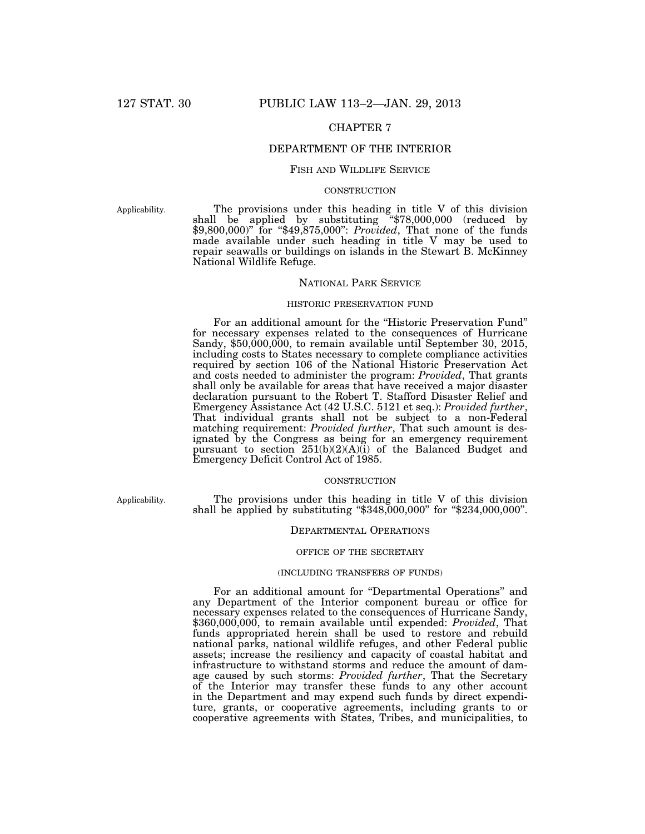## CHAPTER 7

### DEPARTMENT OF THE INTERIOR

### FISH AND WILDLIFE SERVICE

### **CONSTRUCTION**

Applicability.

The provisions under this heading in title V of this division shall be applied by substituting ''\$78,000,000 (reduced by \$9,800,000)'' for ''\$49,875,000'': *Provided*, That none of the funds made available under such heading in title V may be used to repair seawalls or buildings on islands in the Stewart B. McKinney National Wildlife Refuge.

#### NATIONAL PARK SERVICE

#### HISTORIC PRESERVATION FUND

For an additional amount for the ''Historic Preservation Fund'' for necessary expenses related to the consequences of Hurricane Sandy, \$50,000,000, to remain available until September 30, 2015, including costs to States necessary to complete compliance activities required by section 106 of the National Historic Preservation Act and costs needed to administer the program: *Provided*, That grants shall only be available for areas that have received a major disaster declaration pursuant to the Robert T. Stafford Disaster Relief and Emergency Assistance Act (42 U.S.C. 5121 et seq.): *Provided further*, That individual grants shall not be subject to a non-Federal matching requirement: *Provided further*, That such amount is designated by the Congress as being for an emergency requirement pursuant to section 251(b)(2)(A)(i) of the Balanced Budget and Emergency Deficit Control Act of 1985.

#### **CONSTRUCTION**

Applicability.

The provisions under this heading in title V of this division shall be applied by substituting "\$348,000,000" for "\$234,000,000".

#### DEPARTMENTAL OPERATIONS

#### OFFICE OF THE SECRETARY

#### (INCLUDING TRANSFERS OF FUNDS)

For an additional amount for ''Departmental Operations'' and any Department of the Interior component bureau or office for necessary expenses related to the consequences of Hurricane Sandy, \$360,000,000, to remain available until expended: *Provided*, That funds appropriated herein shall be used to restore and rebuild national parks, national wildlife refuges, and other Federal public assets; increase the resiliency and capacity of coastal habitat and infrastructure to withstand storms and reduce the amount of damage caused by such storms: *Provided further*, That the Secretary of the Interior may transfer these funds to any other account in the Department and may expend such funds by direct expenditure, grants, or cooperative agreements, including grants to or cooperative agreements with States, Tribes, and municipalities, to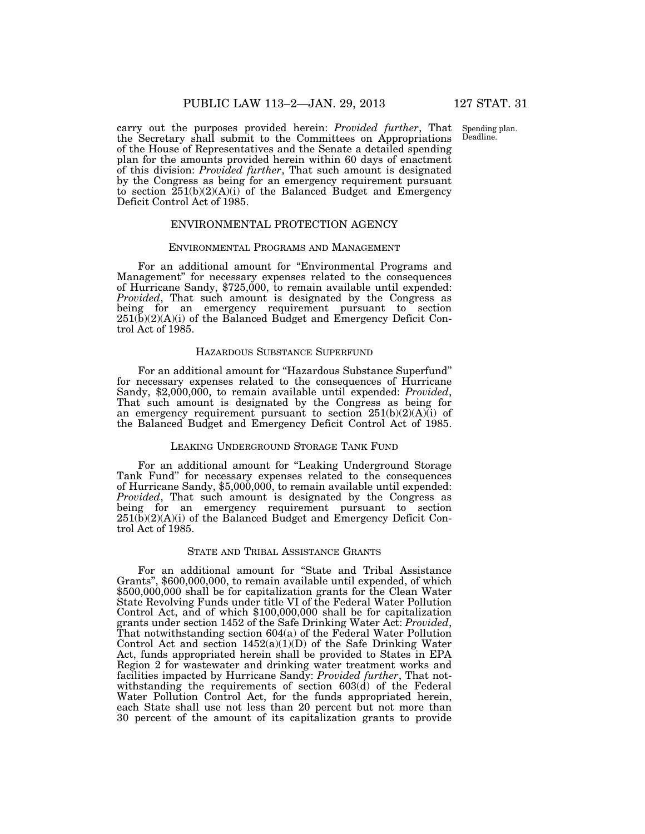Spending plan. Deadline.

carry out the purposes provided herein: *Provided further*, That the Secretary shall submit to the Committees on Appropriations of the House of Representatives and the Senate a detailed spending plan for the amounts provided herein within 60 days of enactment of this division: *Provided further*, That such amount is designated by the Congress as being for an emergency requirement pursuant to section 251(b)(2)(A)(i) of the Balanced Budget and Emergency Deficit Control Act of 1985.

#### ENVIRONMENTAL PROTECTION AGENCY

#### ENVIRONMENTAL PROGRAMS AND MANAGEMENT

For an additional amount for "Environmental Programs and Management'' for necessary expenses related to the consequences of Hurricane Sandy, \$725,000, to remain available until expended: *Provided*, That such amount is designated by the Congress as being for an emergency requirement pursuant to section  $251(\tilde{b})(2)(A)(i)$  of the Balanced Budget and Emergency Deficit Control Act of 1985.

#### HAZARDOUS SUBSTANCE SUPERFUND

For an additional amount for ''Hazardous Substance Superfund'' for necessary expenses related to the consequences of Hurricane Sandy, \$2,000,000, to remain available until expended: *Provided*, That such amount is designated by the Congress as being for an emergency requirement pursuant to section  $251(b)(2)(A)(i)$  of the Balanced Budget and Emergency Deficit Control Act of 1985.

#### LEAKING UNDERGROUND STORAGE TANK FUND

For an additional amount for "Leaking Underground Storage Tank Fund'' for necessary expenses related to the consequences of Hurricane Sandy, \$5,000,000, to remain available until expended: *Provided*, That such amount is designated by the Congress as being for an emergency requirement pursuant to section  $251(\tilde{b})(2)(A)(i)$  of the Balanced Budget and Emergency Deficit Control Act of 1985.

### STATE AND TRIBAL ASSISTANCE GRANTS

For an additional amount for "State and Tribal Assistance" Grants'', \$600,000,000, to remain available until expended, of which \$500,000,000 shall be for capitalization grants for the Clean Water State Revolving Funds under title VI of the Federal Water Pollution Control Act, and of which \$100,000,000 shall be for capitalization grants under section 1452 of the Safe Drinking Water Act: *Provided*, That notwithstanding section 604(a) of the Federal Water Pollution Control Act and section  $1452(a)(1)(D)$  of the Safe Drinking Water Act, funds appropriated herein shall be provided to States in EPA Region 2 for wastewater and drinking water treatment works and facilities impacted by Hurricane Sandy: *Provided further*, That notwithstanding the requirements of section 603(d) of the Federal Water Pollution Control Act, for the funds appropriated herein, each State shall use not less than 20 percent but not more than 30 percent of the amount of its capitalization grants to provide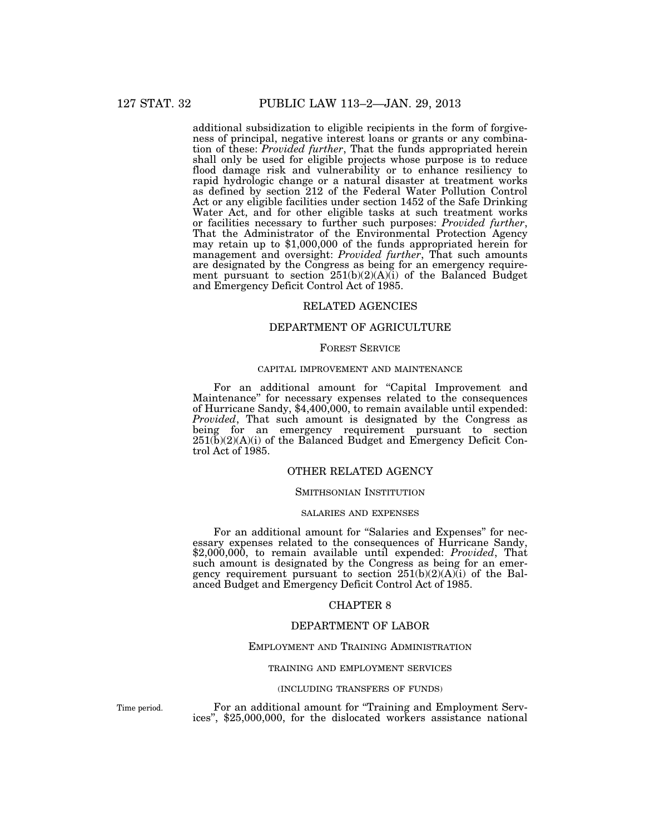additional subsidization to eligible recipients in the form of forgiveness of principal, negative interest loans or grants or any combination of these: *Provided further*, That the funds appropriated herein shall only be used for eligible projects whose purpose is to reduce flood damage risk and vulnerability or to enhance resiliency to rapid hydrologic change or a natural disaster at treatment works as defined by section 212 of the Federal Water Pollution Control Act or any eligible facilities under section 1452 of the Safe Drinking Water Act, and for other eligible tasks at such treatment works or facilities necessary to further such purposes: *Provided further*, That the Administrator of the Environmental Protection Agency may retain up to \$1,000,000 of the funds appropriated herein for management and oversight: *Provided further*, That such amounts are designated by the Congress as being for an emergency requirement pursuant to section  $251(b)(2)(A)(i)$  of the Balanced Budget and Emergency Deficit Control Act of 1985.

### RELATED AGENCIES

#### DEPARTMENT OF AGRICULTURE

#### FOREST SERVICE

#### CAPITAL IMPROVEMENT AND MAINTENANCE

For an additional amount for "Capital Improvement and Maintenance'' for necessary expenses related to the consequences of Hurricane Sandy, \$4,400,000, to remain available until expended: *Provided*, That such amount is designated by the Congress as being for an emergency requirement pursuant to section  $251(b)(2)(A)(i)$  of the Balanced Budget and Emergency Deficit Control Act of 1985.

### OTHER RELATED AGENCY

#### SMITHSONIAN INSTITUTION

#### SALARIES AND EXPENSES

For an additional amount for "Salaries and Expenses" for necessary expenses related to the consequences of Hurricane Sandy, \$2,000,000, to remain available until expended: *Provided*, That such amount is designated by the Congress as being for an emergency requirement pursuant to section  $251(b)(2)(A)(i)$  of the Balanced Budget and Emergency Deficit Control Act of 1985.

#### CHAPTER 8

### DEPARTMENT OF LABOR

#### EMPLOYMENT AND TRAINING ADMINISTRATION

#### TRAINING AND EMPLOYMENT SERVICES

#### (INCLUDING TRANSFERS OF FUNDS)

Time period.

For an additional amount for ''Training and Employment Services'', \$25,000,000, for the dislocated workers assistance national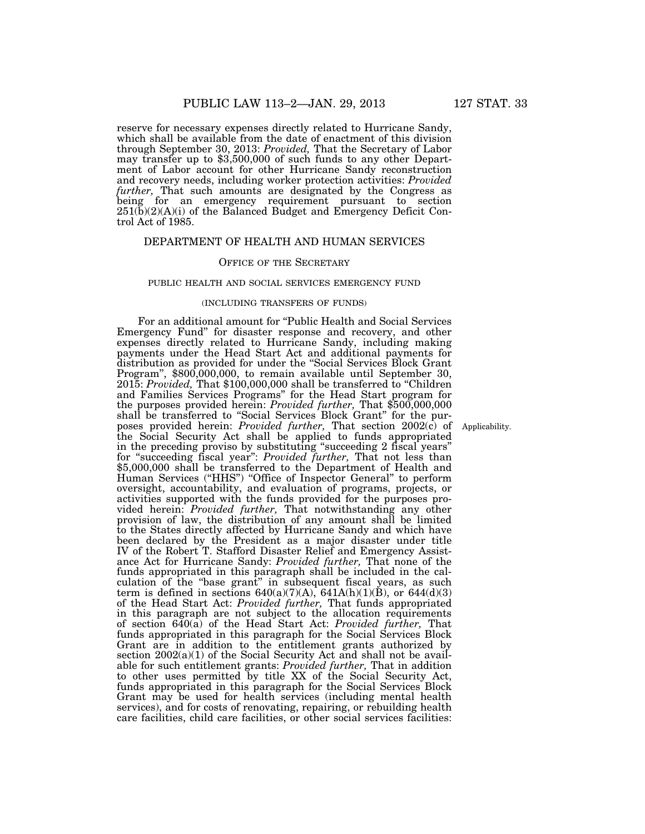reserve for necessary expenses directly related to Hurricane Sandy, which shall be available from the date of enactment of this division through September 30, 2013: *Provided,* That the Secretary of Labor may transfer up to \$3,500,000 of such funds to any other Department of Labor account for other Hurricane Sandy reconstruction and recovery needs, including worker protection activities: *Provided further,* That such amounts are designated by the Congress as being for an emergency requirement pursuant to section  $251(\overline{b})(2)(\overline{A})(i)$  of the Balanced Budget and Emergency Deficit Control Act of 1985.

### DEPARTMENT OF HEALTH AND HUMAN SERVICES

#### OFFICE OF THE SECRETARY

#### PUBLIC HEALTH AND SOCIAL SERVICES EMERGENCY FUND

#### (INCLUDING TRANSFERS OF FUNDS)

For an additional amount for ''Public Health and Social Services Emergency Fund'' for disaster response and recovery, and other expenses directly related to Hurricane Sandy, including making payments under the Head Start Act and additional payments for distribution as provided for under the ''Social Services Block Grant Program'', \$800,000,000, to remain available until September 30, 2015: *Provided,* That \$100,000,000 shall be transferred to ''Children and Families Services Programs'' for the Head Start program for the purposes provided herein: *Provided further,* That \$500,000,000 shall be transferred to ''Social Services Block Grant'' for the purposes provided herein: *Provided further,* That section 2002(c) of poses provided herein: *Provided further*, That section 2002(c) of Applicability.<br>the Social Security Act shall be applied to funds appropriated in the preceding proviso by substituting ''succeeding 2 fiscal years'' for ''succeeding fiscal year'': *Provided further,* That not less than \$5,000,000 shall be transferred to the Department of Health and Human Services (''HHS'') ''Office of Inspector General'' to perform oversight, accountability, and evaluation of programs, projects, or activities supported with the funds provided for the purposes provided herein: *Provided further,* That notwithstanding any other provision of law, the distribution of any amount shall be limited to the States directly affected by Hurricane Sandy and which have been declared by the President as a major disaster under title IV of the Robert T. Stafford Disaster Relief and Emergency Assistance Act for Hurricane Sandy: *Provided further,* That none of the funds appropriated in this paragraph shall be included in the calculation of the ''base grant'' in subsequent fiscal years, as such term is defined in sections  $640(a)(7)(A)$ ,  $641A(h)(1)(B)$ , or  $644(d)(3)$ of the Head Start Act: *Provided further,* That funds appropriated in this paragraph are not subject to the allocation requirements of section 640(a) of the Head Start Act: *Provided further,* That funds appropriated in this paragraph for the Social Services Block Grant are in addition to the entitlement grants authorized by section  $2002(a)(1)$  of the Social Security Act and shall not be available for such entitlement grants: *Provided further,* That in addition to other uses permitted by title XX of the Social Security Act, funds appropriated in this paragraph for the Social Services Block Grant may be used for health services (including mental health services), and for costs of renovating, repairing, or rebuilding health care facilities, child care facilities, or other social services facilities: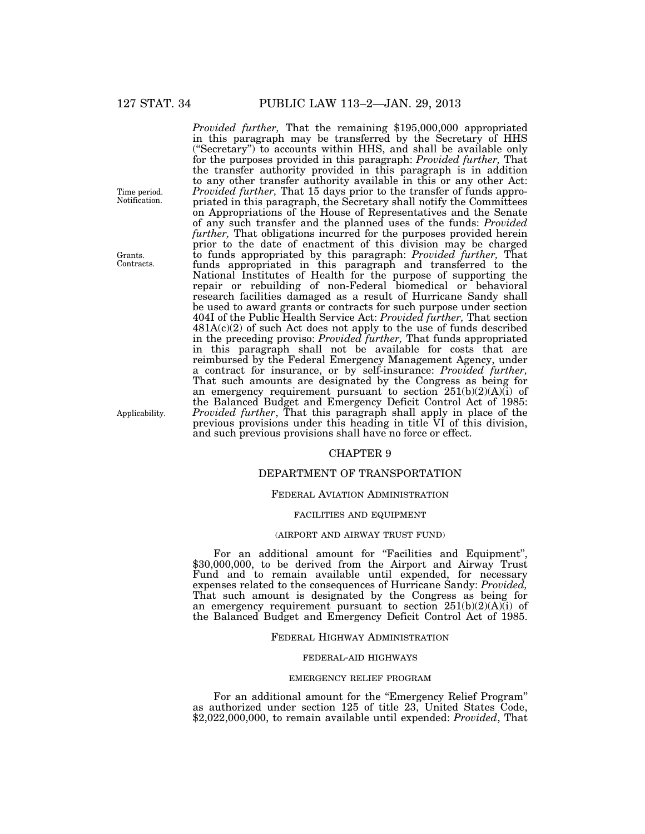*Provided further,* That the remaining \$195,000,000 appropriated in this paragraph may be transferred by the Secretary of HHS (''Secretary'') to accounts within HHS, and shall be available only for the purposes provided in this paragraph: *Provided further,* That the transfer authority provided in this paragraph is in addition to any other transfer authority available in this or any other Act: *Provided further,* That 15 days prior to the transfer of funds appropriated in this paragraph, the Secretary shall notify the Committees on Appropriations of the House of Representatives and the Senate of any such transfer and the planned uses of the funds: *Provided further,* That obligations incurred for the purposes provided herein prior to the date of enactment of this division may be charged to funds appropriated by this paragraph: *Provided further,* That funds appropriated in this paragraph and transferred to the National Institutes of Health for the purpose of supporting the repair or rebuilding of non-Federal biomedical or behavioral research facilities damaged as a result of Hurricane Sandy shall be used to award grants or contracts for such purpose under section 404I of the Public Health Service Act: *Provided further,* That section  $481A(c)(2)$  of such Act does not apply to the use of funds described in the preceding proviso: *Provided further,* That funds appropriated in this paragraph shall not be available for costs that are reimbursed by the Federal Emergency Management Agency, under a contract for insurance, or by self-insurance: *Provided further,*  That such amounts are designated by the Congress as being for an emergency requirement pursuant to section  $251(b)(2)(A)(i)$  of the Balanced Budget and Emergency Deficit Control Act of 1985: *Provided further*, That this paragraph shall apply in place of the previous provisions under this heading in title VI of this division, and such previous provisions shall have no force or effect.

#### CHAPTER 9

### DEPARTMENT OF TRANSPORTATION

#### FEDERAL AVIATION ADMINISTRATION

#### FACILITIES AND EQUIPMENT

#### (AIRPORT AND AIRWAY TRUST FUND)

For an additional amount for "Facilities and Equipment", \$30,000,000, to be derived from the Airport and Airway Trust Fund and to remain available until expended, for necessary expenses related to the consequences of Hurricane Sandy: *Provided,*  That such amount is designated by the Congress as being for an emergency requirement pursuant to section  $251(b)(2)(A)(i)$  of the Balanced Budget and Emergency Deficit Control Act of 1985.

#### FEDERAL HIGHWAY ADMINISTRATION

#### FEDERAL-AID HIGHWAYS

#### EMERGENCY RELIEF PROGRAM

For an additional amount for the "Emergency Relief Program" as authorized under section 125 of title 23, United States Code, \$2,022,000,000, to remain available until expended: *Provided*, That

Applicability.

Grants. Contracts.

Time period. Notification.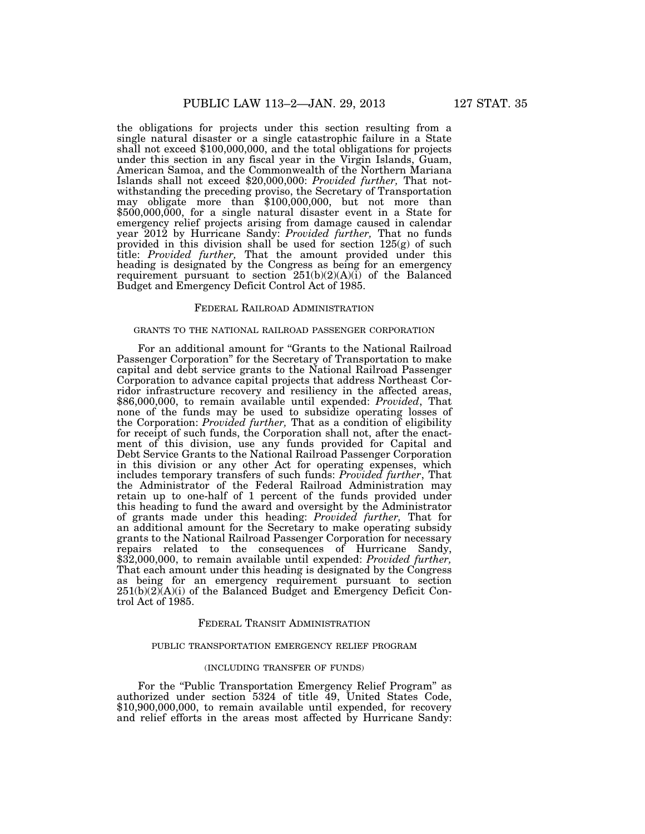the obligations for projects under this section resulting from a single natural disaster or a single catastrophic failure in a State shall not exceed \$100,000,000, and the total obligations for projects under this section in any fiscal year in the Virgin Islands, Guam, American Samoa, and the Commonwealth of the Northern Mariana Islands shall not exceed \$20,000,000: *Provided further,* That notwithstanding the preceding proviso, the Secretary of Transportation may obligate more than \$100,000,000, but not more than \$500,000,000, for a single natural disaster event in a State for emergency relief projects arising from damage caused in calendar year 2012 by Hurricane Sandy: *Provided further,* That no funds provided in this division shall be used for section 125(g) of such title: *Provided further,* That the amount provided under this heading is designated by the Congress as being for an emergency requirement pursuant to section  $251(b)(2)(A)(i)$  of the Balanced Budget and Emergency Deficit Control Act of 1985.

#### FEDERAL RAILROAD ADMINISTRATION

#### GRANTS TO THE NATIONAL RAILROAD PASSENGER CORPORATION

For an additional amount for ''Grants to the National Railroad Passenger Corporation'' for the Secretary of Transportation to make capital and debt service grants to the National Railroad Passenger Corporation to advance capital projects that address Northeast Corridor infrastructure recovery and resiliency in the affected areas, \$86,000,000, to remain available until expended: *Provided*, That none of the funds may be used to subsidize operating losses of the Corporation: *Provided further,* That as a condition of eligibility for receipt of such funds, the Corporation shall not, after the enactment of this division, use any funds provided for Capital and Debt Service Grants to the National Railroad Passenger Corporation in this division or any other Act for operating expenses, which includes temporary transfers of such funds: *Provided further*, That the Administrator of the Federal Railroad Administration may retain up to one-half of 1 percent of the funds provided under this heading to fund the award and oversight by the Administrator of grants made under this heading: *Provided further,* That for an additional amount for the Secretary to make operating subsidy grants to the National Railroad Passenger Corporation for necessary repairs related to the consequences of Hurricane Sandy, \$32,000,000, to remain available until expended: *Provided further,*  That each amount under this heading is designated by the Congress as being for an emergency requirement pursuant to section  $251(b)(2)(A)(i)$  of the Balanced Budget and Emergency Deficit Control Act of 1985.

#### FEDERAL TRANSIT ADMINISTRATION

#### PUBLIC TRANSPORTATION EMERGENCY RELIEF PROGRAM

#### (INCLUDING TRANSFER OF FUNDS)

For the ''Public Transportation Emergency Relief Program'' as authorized under section 5324 of title 49, United States Code, \$10,900,000,000, to remain available until expended, for recovery and relief efforts in the areas most affected by Hurricane Sandy: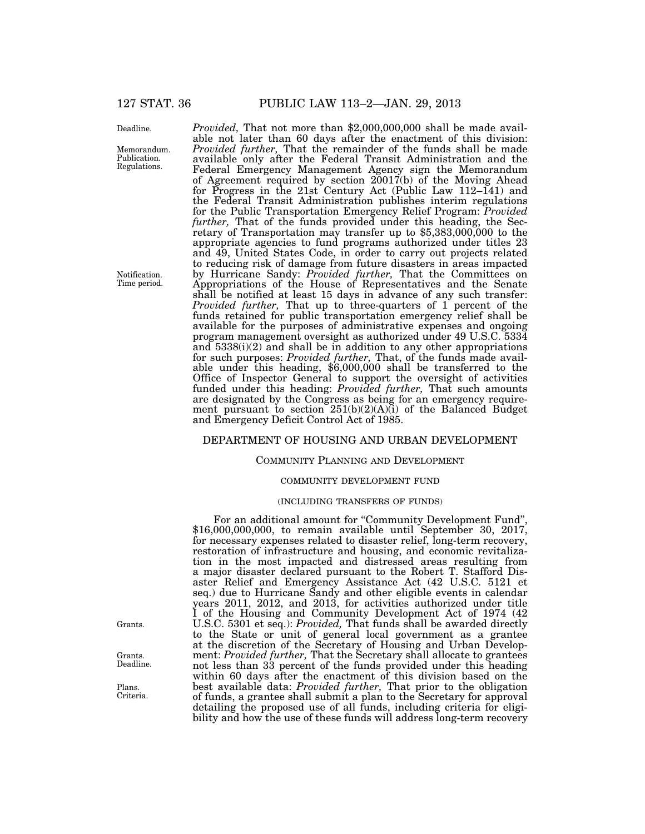Deadline.

Memorandum. Publication. Regulations.

Notification. Time period.

*Provided,* That not more than \$2,000,000,000 shall be made available not later than 60 days after the enactment of this division: *Provided further,* That the remainder of the funds shall be made available only after the Federal Transit Administration and the Federal Emergency Management Agency sign the Memorandum of Agreement required by section 20017(b) of the Moving Ahead for Progress in the 21st Century Act (Public Law 112–141) and the Federal Transit Administration publishes interim regulations for the Public Transportation Emergency Relief Program: *Provided further, That of the funds provided under this heading, the Sec-*<br>retary of Transportation may transfer up to \$5,383,000,000 to the appropriate agencies to fund programs authorized under titles 23 and 49, United States Code, in order to carry out projects related to reducing risk of damage from future disasters in areas impacted by Hurricane Sandy: *Provided further,* That the Committees on Appropriations of the House of Representatives and the Senate shall be notified at least 15 days in advance of any such transfer: *Provided further,* That up to three-quarters of 1 percent of the funds retained for public transportation emergency relief shall be available for the purposes of administrative expenses and ongoing program management oversight as authorized under 49 U.S.C. 5334 and  $5338(i)(2)$  and shall be in addition to any other appropriations for such purposes: *Provided further,* That, of the funds made available under this heading, \$6,000,000 shall be transferred to the Office of Inspector General to support the oversight of activities funded under this heading: *Provided further,* That such amounts are designated by the Congress as being for an emergency requirement pursuant to section  $251(b)(2)(A)(i)$  of the Balanced Budget and Emergency Deficit Control Act of 1985.

### DEPARTMENT OF HOUSING AND URBAN DEVELOPMENT

#### COMMUNITY PLANNING AND DEVELOPMENT

#### COMMUNITY DEVELOPMENT FUND

#### (INCLUDING TRANSFERS OF FUNDS)

For an additional amount for ''Community Development Fund'', \$16,000,000,000, to remain available until September 30, 2017, for necessary expenses related to disaster relief, long-term recovery, restoration of infrastructure and housing, and economic revitalization in the most impacted and distressed areas resulting from a major disaster declared pursuant to the Robert T. Stafford Disaster Relief and Emergency Assistance Act (42 U.S.C. 5121 et seq.) due to Hurricane Sandy and other eligible events in calendar years 2011, 2012, and 2013, for activities authorized under title I of the Housing and Community Development Act of 1974 (42 U.S.C. 5301 et seq.): *Provided,* That funds shall be awarded directly to the State or unit of general local government as a grantee at the discretion of the Secretary of Housing and Urban Development: *Provided further,* That the Secretary shall allocate to grantees not less than 33 percent of the funds provided under this heading within 60 days after the enactment of this division based on the best available data: *Provided further,* That prior to the obligation of funds, a grantee shall submit a plan to the Secretary for approval detailing the proposed use of all funds, including criteria for eligibility and how the use of these funds will address long-term recovery

Grants.

Grants. Deadline.

Plans. Criteria.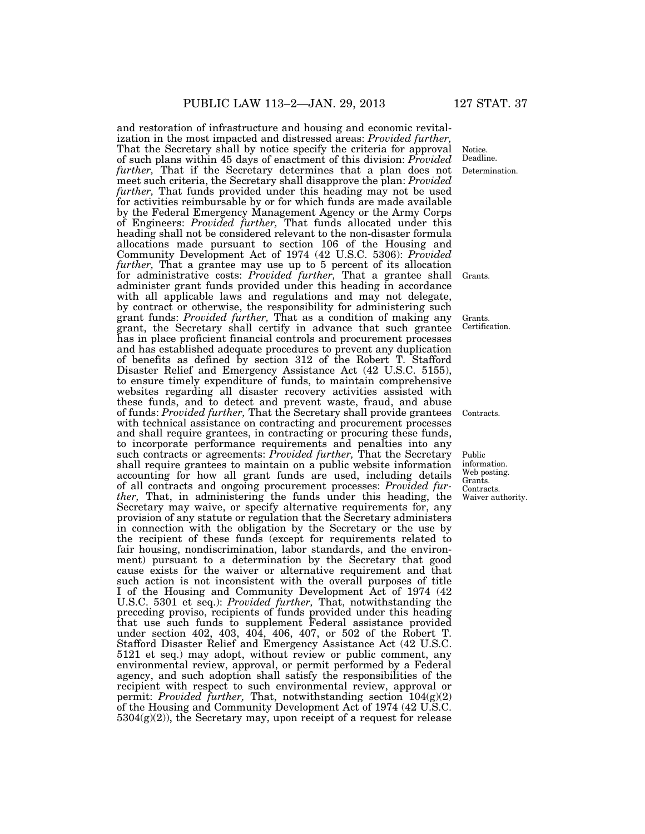and restoration of infrastructure and housing and economic revitalization in the most impacted and distressed areas: *Provided further,*  That the Secretary shall by notice specify the criteria for approval of such plans within 45 days of enactment of this division: *Provided further,* That if the Secretary determines that a plan does not meet such criteria, the Secretary shall disapprove the plan: *Provided further,* That funds provided under this heading may not be used for activities reimbursable by or for which funds are made available by the Federal Emergency Management Agency or the Army Corps of Engineers: *Provided further,* That funds allocated under this heading shall not be considered relevant to the non-disaster formula allocations made pursuant to section 106 of the Housing and Community Development Act of 1974 (42 U.S.C. 5306): *Provided further,* That a grantee may use up to 5 percent of its allocation for administrative costs: *Provided further,* That a grantee shall administer grant funds provided under this heading in accordance with all applicable laws and regulations and may not delegate, by contract or otherwise, the responsibility for administering such grant funds: *Provided further,* That as a condition of making any grant, the Secretary shall certify in advance that such grantee has in place proficient financial controls and procurement processes and has established adequate procedures to prevent any duplication of benefits as defined by section 312 of the Robert T. Stafford Disaster Relief and Emergency Assistance Act (42 U.S.C. 5155), to ensure timely expenditure of funds, to maintain comprehensive websites regarding all disaster recovery activities assisted with these funds, and to detect and prevent waste, fraud, and abuse of funds: *Provided further,* That the Secretary shall provide grantees with technical assistance on contracting and procurement processes and shall require grantees, in contracting or procuring these funds, to incorporate performance requirements and penalties into any such contracts or agreements: *Provided further,* That the Secretary shall require grantees to maintain on a public website information accounting for how all grant funds are used, including details of all contracts and ongoing procurement processes: *Provided further,* That, in administering the funds under this heading, the Secretary may waive, or specify alternative requirements for, any provision of any statute or regulation that the Secretary administers in connection with the obligation by the Secretary or the use by the recipient of these funds (except for requirements related to fair housing, nondiscrimination, labor standards, and the environment) pursuant to a determination by the Secretary that good cause exists for the waiver or alternative requirement and that such action is not inconsistent with the overall purposes of title I of the Housing and Community Development Act of 1974 (42 U.S.C. 5301 et seq.): *Provided further,* That, notwithstanding the preceding proviso, recipients of funds provided under this heading that use such funds to supplement Federal assistance provided under section 402, 403, 404, 406, 407, or 502 of the Robert T. Stafford Disaster Relief and Emergency Assistance Act (42 U.S.C. 5121 et seq.) may adopt, without review or public comment, any environmental review, approval, or permit performed by a Federal agency, and such adoption shall satisfy the responsibilities of the recipient with respect to such environmental review, approval or permit: *Provided further,* That, notwithstanding section 104(g)(2) of the Housing and Community Development Act of 1974 (42 U.S.C.  $5304(g)(2)$ ), the Secretary may, upon receipt of a request for release

Determination. Notice. Deadline.

Grants.

Grants. Certification.

Contracts.

Public information. Web posting. Grants. Contracts. Waiver authority.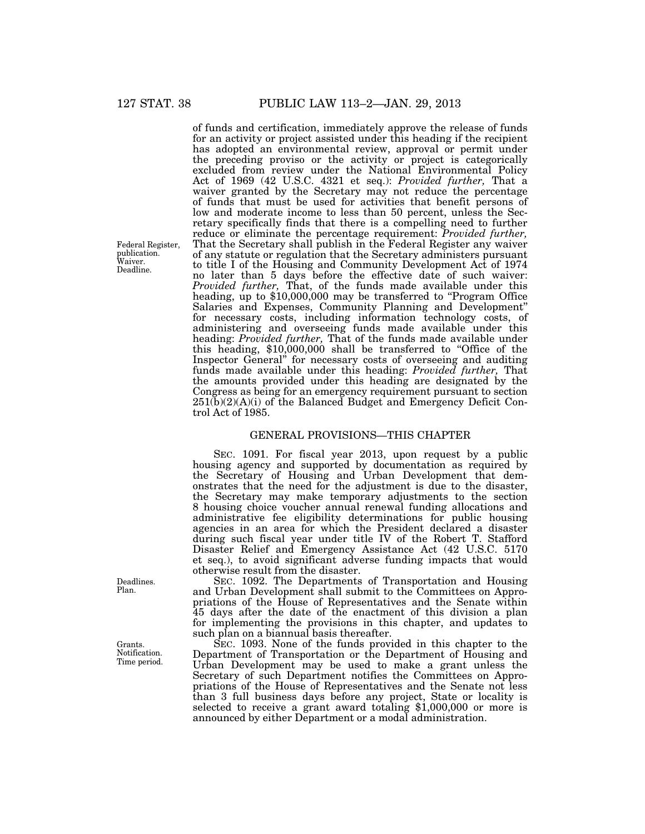Federal Register, publication. Waiver. Deadline.

127 STAT. 38 PUBLIC LAW 113–2—JAN. 29, 2013

of funds and certification, immediately approve the release of funds for an activity or project assisted under this heading if the recipient has adopted an environmental review, approval or permit under the preceding proviso or the activity or project is categorically excluded from review under the National Environmental Policy Act of 1969 (42 U.S.C. 4321 et seq.): *Provided further,* That a waiver granted by the Secretary may not reduce the percentage of funds that must be used for activities that benefit persons of low and moderate income to less than 50 percent, unless the Secretary specifically finds that there is a compelling need to further reduce or eliminate the percentage requirement: *Provided further,*  That the Secretary shall publish in the Federal Register any waiver of any statute or regulation that the Secretary administers pursuant to title I of the Housing and Community Development Act of 1974 no later than 5 days before the effective date of such waiver: *Provided further,* That, of the funds made available under this heading, up to \$10,000,000 may be transferred to "Program Office" Salaries and Expenses, Community Planning and Development'' for necessary costs, including information technology costs, of administering and overseeing funds made available under this heading: *Provided further,* That of the funds made available under this heading, \$10,000,000 shall be transferred to ''Office of the Inspector General'' for necessary costs of overseeing and auditing funds made available under this heading: *Provided further,* That the amounts provided under this heading are designated by the Congress as being for an emergency requirement pursuant to section  $251(b)(2)(A)(i)$  of the Balanced Budget and Emergency Deficit Control Act of 1985.

### GENERAL PROVISIONS—THIS CHAPTER

SEC. 1091. For fiscal year 2013, upon request by a public housing agency and supported by documentation as required by the Secretary of Housing and Urban Development that demonstrates that the need for the adjustment is due to the disaster, the Secretary may make temporary adjustments to the section 8 housing choice voucher annual renewal funding allocations and administrative fee eligibility determinations for public housing agencies in an area for which the President declared a disaster during such fiscal year under title IV of the Robert T. Stafford Disaster Relief and Emergency Assistance Act (42 U.S.C. 5170 et seq.), to avoid significant adverse funding impacts that would otherwise result from the disaster.

SEC. 1092. The Departments of Transportation and Housing and Urban Development shall submit to the Committees on Appropriations of the House of Representatives and the Senate within 45 days after the date of the enactment of this division a plan for implementing the provisions in this chapter, and updates to such plan on a biannual basis thereafter.

SEC. 1093. None of the funds provided in this chapter to the Department of Transportation or the Department of Housing and Urban Development may be used to make a grant unless the Secretary of such Department notifies the Committees on Appropriations of the House of Representatives and the Senate not less than 3 full business days before any project, State or locality is selected to receive a grant award totaling \$1,000,000 or more is announced by either Department or a modal administration.

Deadlines. Plan.

Grants. Notification. Time period.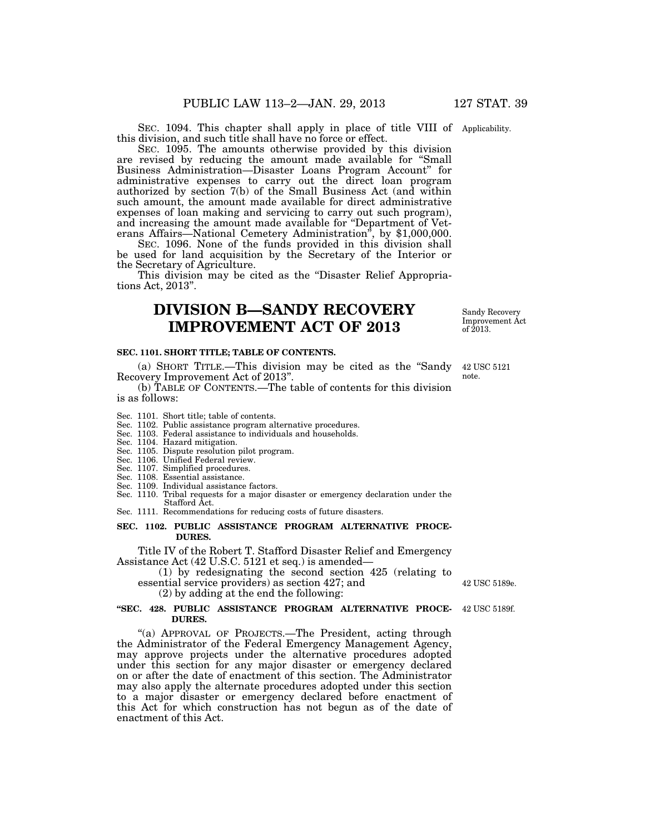SEC. 1094. This chapter shall apply in place of title VIII of Applicability. this division, and such title shall have no force or effect.

SEC. 1095. The amounts otherwise provided by this division are revised by reducing the amount made available for ''Small Business Administration—Disaster Loans Program Account'' for administrative expenses to carry out the direct loan program authorized by section 7(b) of the Small Business Act (and within such amount, the amount made available for direct administrative expenses of loan making and servicing to carry out such program), and increasing the amount made available for ''Department of Veterans Affairs—National Cemetery Administration'', by \$1,000,000.

SEC. 1096. None of the funds provided in this division shall be used for land acquisition by the Secretary of the Interior or the Secretary of Agriculture.

This division may be cited as the "Disaster Relief Appropriations Act, 2013''.

# **DIVISION B—SANDY RECOVERY IMPROVEMENT ACT OF 2013**

#### **SEC. 1101. SHORT TITLE; TABLE OF CONTENTS.**

(a) SHORT TITLE.—This division may be cited as the ''Sandy Recovery Improvement Act of 2013''.

(b) TABLE OF CONTENTS.—The table of contents for this division is as follows:

#### Sec. 1101. Short title; table of contents.

- Sec. 1102. Public assistance program alternative procedures.
- Sec. 1103. Federal assistance to individuals and households.
- Sec. 1104. Hazard mitigation.
- Sec. 1105. Dispute resolution pilot program.
- Sec. 1106. Unified Federal review.
- Sec. 1107. Simplified procedures.
- Sec. 1108. Essential assistance.
- Sec. 1109. Individual assistance factors.
- Sec. 1110. Tribal requests for a major disaster or emergency declaration under the Stafford Act.

Sec. 1111. Recommendations for reducing costs of future disasters.

#### **SEC. 1102. PUBLIC ASSISTANCE PROGRAM ALTERNATIVE PROCE-DURES.**

Title IV of the Robert T. Stafford Disaster Relief and Emergency Assistance Act (42 U.S.C. 5121 et seq.) is amended—

(1) by redesignating the second section 425 (relating to essential service providers) as section 427; and

(2) by adding at the end the following:

#### **''SEC. 428. PUBLIC ASSISTANCE PROGRAM ALTERNATIVE PROCE-**42 USC 5189f. **DURES.**

''(a) APPROVAL OF PROJECTS.—The President, acting through the Administrator of the Federal Emergency Management Agency, may approve projects under the alternative procedures adopted under this section for any major disaster or emergency declared on or after the date of enactment of this section. The Administrator may also apply the alternate procedures adopted under this section to a major disaster or emergency declared before enactment of this Act for which construction has not begun as of the date of enactment of this Act.

Sandy Recovery Improvement Act  $of 2013.$ 

42 USC 5121 note.

42 USC 5189e.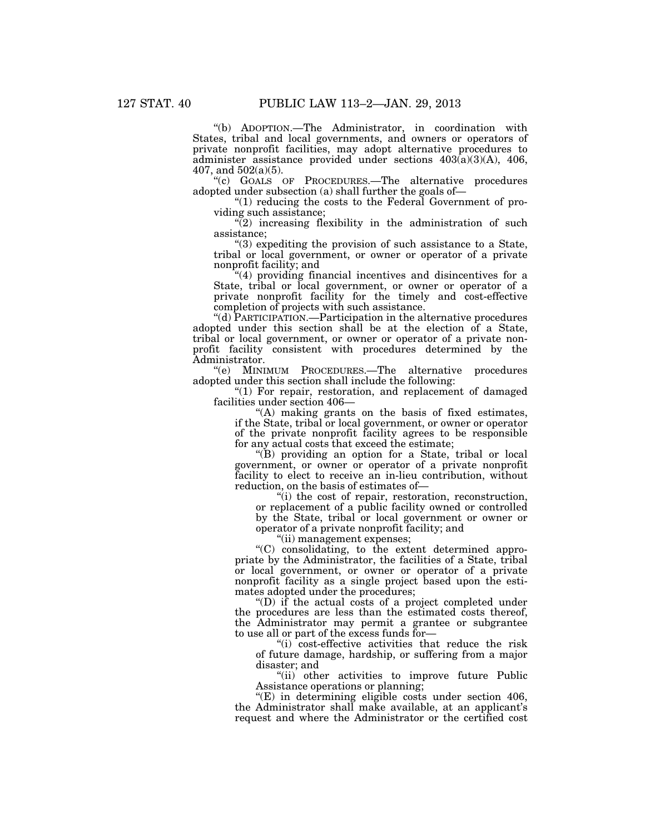''(b) ADOPTION.—The Administrator, in coordination with States, tribal and local governments, and owners or operators of private nonprofit facilities, may adopt alternative procedures to administer assistance provided under sections 403(a)(3)(A), 406, 407, and 502(a)(5).

''(c) GOALS OF PROCEDURES.—The alternative procedures adopted under subsection (a) shall further the goals of—

''(1) reducing the costs to the Federal Government of providing such assistance;

 $(2)$  increasing flexibility in the administration of such assistance;

''(3) expediting the provision of such assistance to a State, tribal or local government, or owner or operator of a private nonprofit facility; and

 $(4)$  providing financial incentives and disincentives for a State, tribal or local government, or owner or operator of a private nonprofit facility for the timely and cost-effective completion of projects with such assistance.

''(d) PARTICIPATION.—Participation in the alternative procedures adopted under this section shall be at the election of a State, tribal or local government, or owner or operator of a private nonprofit facility consistent with procedures determined by the Administrator.

''(e) MINIMUM PROCEDURES.—The alternative procedures adopted under this section shall include the following:

"(1) For repair, restoration, and replacement of damaged facilities under section 406—

''(A) making grants on the basis of fixed estimates, if the State, tribal or local government, or owner or operator of the private nonprofit facility agrees to be responsible for any actual costs that exceed the estimate;

''(B) providing an option for a State, tribal or local government, or owner or operator of a private nonprofit facility to elect to receive an in-lieu contribution, without reduction, on the basis of estimates of—

''(i) the cost of repair, restoration, reconstruction, or replacement of a public facility owned or controlled by the State, tribal or local government or owner or operator of a private nonprofit facility; and

"(ii) management expenses;

''(C) consolidating, to the extent determined appropriate by the Administrator, the facilities of a State, tribal or local government, or owner or operator of a private nonprofit facility as a single project based upon the estimates adopted under the procedures;

''(D) if the actual costs of a project completed under the procedures are less than the estimated costs thereof, the Administrator may permit a grantee or subgrantee to use all or part of the excess funds for—

''(i) cost-effective activities that reduce the risk of future damage, hardship, or suffering from a major disaster; and

''(ii) other activities to improve future Public Assistance operations or planning;

''(E) in determining eligible costs under section 406, the Administrator shall make available, at an applicant's request and where the Administrator or the certified cost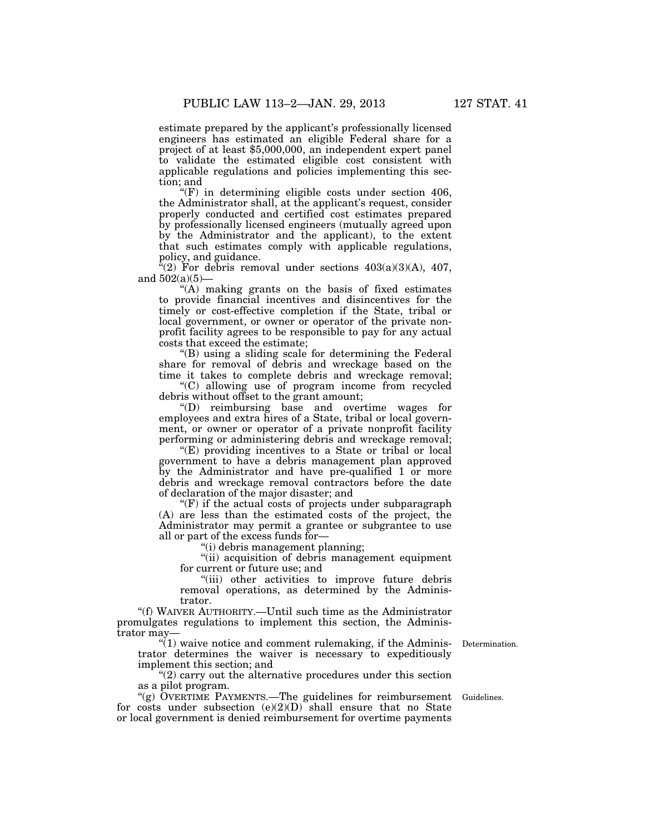estimate prepared by the applicant's professionally licensed engineers has estimated an eligible Federal share for a project of at least \$5,000,000, an independent expert panel to validate the estimated eligible cost consistent with applicable regulations and policies implementing this section; and

''(F) in determining eligible costs under section 406, the Administrator shall, at the applicant's request, consider properly conducted and certified cost estimates prepared by professionally licensed engineers (mutually agreed upon by the Administrator and the applicant), to the extent that such estimates comply with applicable regulations, policy, and guidance.

 $f(2)$  For debris removal under sections  $403(a)(3)(A)$ ,  $407$ , and 502(a)(5)—

''(A) making grants on the basis of fixed estimates to provide financial incentives and disincentives for the timely or cost-effective completion if the State, tribal or local government, or owner or operator of the private nonprofit facility agrees to be responsible to pay for any actual costs that exceed the estimate;

''(B) using a sliding scale for determining the Federal share for removal of debris and wreckage based on the time it takes to complete debris and wreckage removal;

''(C) allowing use of program income from recycled debris without offset to the grant amount;

''(D) reimbursing base and overtime wages for employees and extra hires of a State, tribal or local government, or owner or operator of a private nonprofit facility performing or administering debris and wreckage removal;

''(E) providing incentives to a State or tribal or local government to have a debris management plan approved by the Administrator and have pre-qualified 1 or more debris and wreckage removal contractors before the date of declaration of the major disaster; and

 $F(F)$  if the actual costs of projects under subparagraph (A) are less than the estimated costs of the project, the Administrator may permit a grantee or subgrantee to use all or part of the excess funds for—

''(i) debris management planning;

''(ii) acquisition of debris management equipment for current or future use; and

"(iii) other activities to improve future debris removal operations, as determined by the Administrator.

''(f) WAIVER AUTHORITY.—Until such time as the Administrator promulgates regulations to implement this section, the Administrator may—

 $\mathcal{H}(1)$  waive notice and comment rulemaking, if the Administrator determines the waiver is necessary to expeditiously implement this section; and

 $\degree$ (2) carry out the alternative procedures under this section as a pilot program.

"(g) OVERTIME PAYMENTS.—The guidelines for reimbursement Guidelines. for costs under subsection  $(e)(2)(D)$  shall ensure that no State or local government is denied reimbursement for overtime payments

Determination.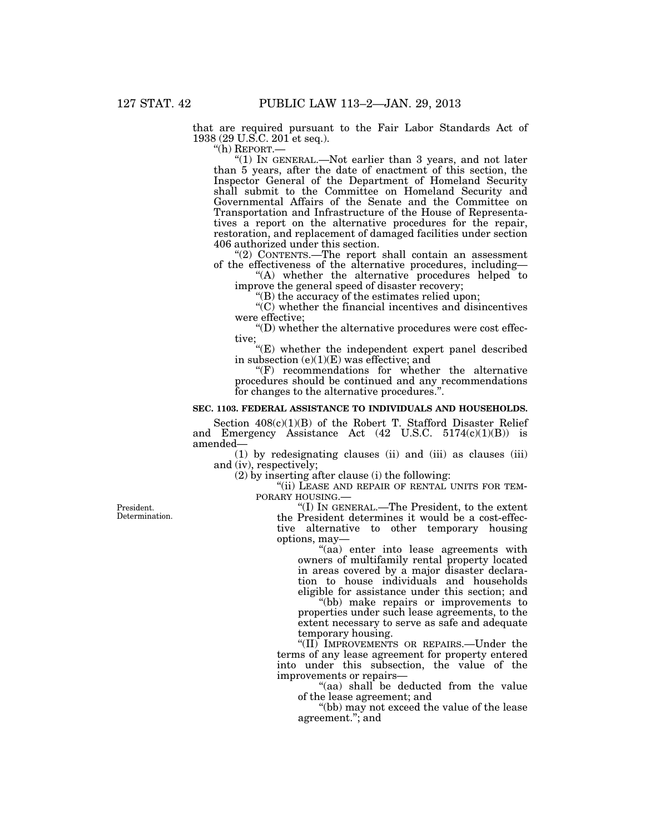that are required pursuant to the Fair Labor Standards Act of 1938 (29 U.S.C. 201 et seq.).

''(h) REPORT.—

" $(1)$  In GENERAL.—Not earlier than 3 years, and not later than 5 years, after the date of enactment of this section, the Inspector General of the Department of Homeland Security shall submit to the Committee on Homeland Security and Governmental Affairs of the Senate and the Committee on Transportation and Infrastructure of the House of Representatives a report on the alternative procedures for the repair, restoration, and replacement of damaged facilities under section 406 authorized under this section.

''(2) CONTENTS.—The report shall contain an assessment of the effectiveness of the alternative procedures, including—

''(A) whether the alternative procedures helped to improve the general speed of disaster recovery;

''(B) the accuracy of the estimates relied upon;

''(C) whether the financial incentives and disincentives were effective;

 $\mathrm{``(D)}$  whether the alternative procedures were cost effective;

''(E) whether the independent expert panel described in subsection (e)(1)(E) was effective; and

''(F) recommendations for whether the alternative procedures should be continued and any recommendations for changes to the alternative procedures.''.

#### **SEC. 1103. FEDERAL ASSISTANCE TO INDIVIDUALS AND HOUSEHOLDS.**

Section 408(c)(1)(B) of the Robert T. Stafford Disaster Relief and Emergency Assistance Act (42 U.S.C. 5174(c)(1)(B)) is amended—

(1) by redesignating clauses (ii) and (iii) as clauses (iii) and (iv), respectively;

(2) by inserting after clause (i) the following:

"(ii) LEASE AND REPAIR OF RENTAL UNITS FOR TEM-<br>PORARY HOUSING.—

''(I) IN GENERAL.—The President, to the extent the President determines it would be a cost-effective alternative to other temporary housing options, may—

"(aa) enter into lease agreements with owners of multifamily rental property located in areas covered by a major disaster declaration to house individuals and households eligible for assistance under this section; and

"(bb) make repairs or improvements to properties under such lease agreements, to the extent necessary to serve as safe and adequate temporary housing.

"(II) IMPROVEMENTS OR REPAIRS.—Under the terms of any lease agreement for property entered into under this subsection, the value of the improvements or repairs—

''(aa) shall be deducted from the value of the lease agreement; and

''(bb) may not exceed the value of the lease agreement.''; and

President. Determination.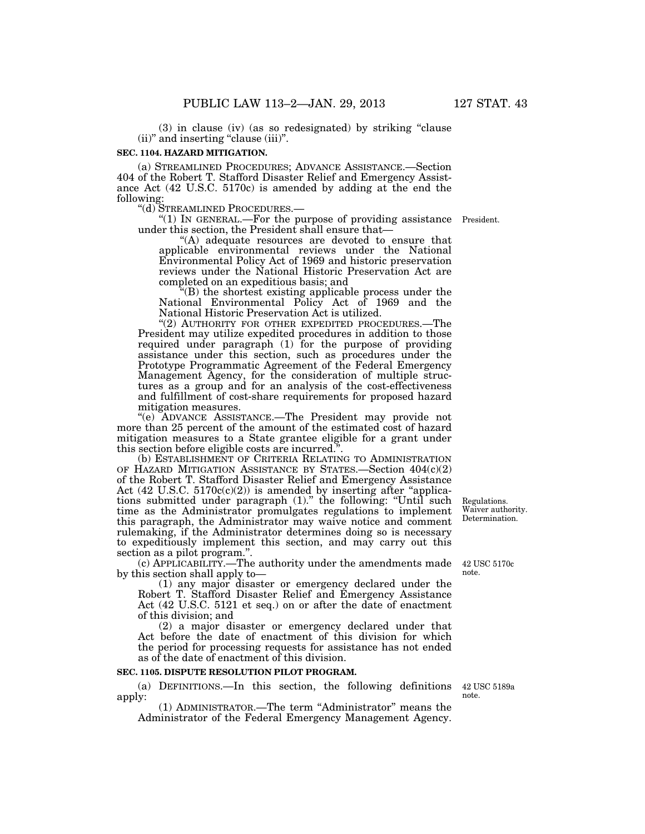(3) in clause (iv) (as so redesignated) by striking ''clause (ii)'' and inserting ''clause (iii)''.

#### **SEC. 1104. HAZARD MITIGATION.**

(a) STREAMLINED PROCEDURES; ADVANCE ASSISTANCE.—Section 404 of the Robert T. Stafford Disaster Relief and Emergency Assistance Act (42 U.S.C. 5170c) is amended by adding at the end the following:

''(d) STREAMLINED PROCEDURES.— ''(1) IN GENERAL.—For the purpose of providing assistance President. under this section, the President shall ensure that—

"(A) adequate resources are devoted to ensure that applicable environmental reviews under the National Environmental Policy Act of 1969 and historic preservation reviews under the National Historic Preservation Act are completed on an expeditious basis; and

''(B) the shortest existing applicable process under the National Environmental Policy Act of 1969 and the National Historic Preservation Act is utilized.

"(2) AUTHORITY FOR OTHER EXPEDITED PROCEDURES.-The President may utilize expedited procedures in addition to those required under paragraph (1) for the purpose of providing assistance under this section, such as procedures under the Prototype Programmatic Agreement of the Federal Emergency Management Agency, for the consideration of multiple structures as a group and for an analysis of the cost-effectiveness and fulfillment of cost-share requirements for proposed hazard mitigation measures.

''(e) ADVANCE ASSISTANCE.—The President may provide not more than 25 percent of the amount of the estimated cost of hazard mitigation measures to a State grantee eligible for a grant under this section before eligible costs are incurred.''.

(b) ESTABLISHMENT OF CRITERIA RELATING TO ADMINISTRATION OF HAZARD MITIGATION ASSISTANCE BY STATES.—Section 404(c)(2) of the Robert T. Stafford Disaster Relief and Emergency Assistance Act  $(42 \text{ U.S.C. } 5170c(c)(2))$  is amended by inserting after "applications submitted under paragraph (1)." the following: "Until such time as the Administrator promulgates regulations to implement this paragraph, the Administrator may waive notice and comment rulemaking, if the Administrator determines doing so is necessary to expeditiously implement this section, and may carry out this section as a pilot program.''.

(c) APPLICABILITY.—The authority under the amendments made by this section shall apply to—

(1) any major disaster or emergency declared under the Robert T. Stafford Disaster Relief and Emergency Assistance Act (42 U.S.C. 5121 et seq.) on or after the date of enactment of this division; and

(2) a major disaster or emergency declared under that Act before the date of enactment of this division for which the period for processing requests for assistance has not ended as of the date of enactment of this division.

### **SEC. 1105. DISPUTE RESOLUTION PILOT PROGRAM.**

(a) DEFINITIONS.—In this section, the following definitions 42 USC 5189a apply:

(1) ADMINISTRATOR.—The term ''Administrator'' means the Administrator of the Federal Emergency Management Agency.

**Regulations** Waiver authority. Determination.

42 USC 5170c note.

note.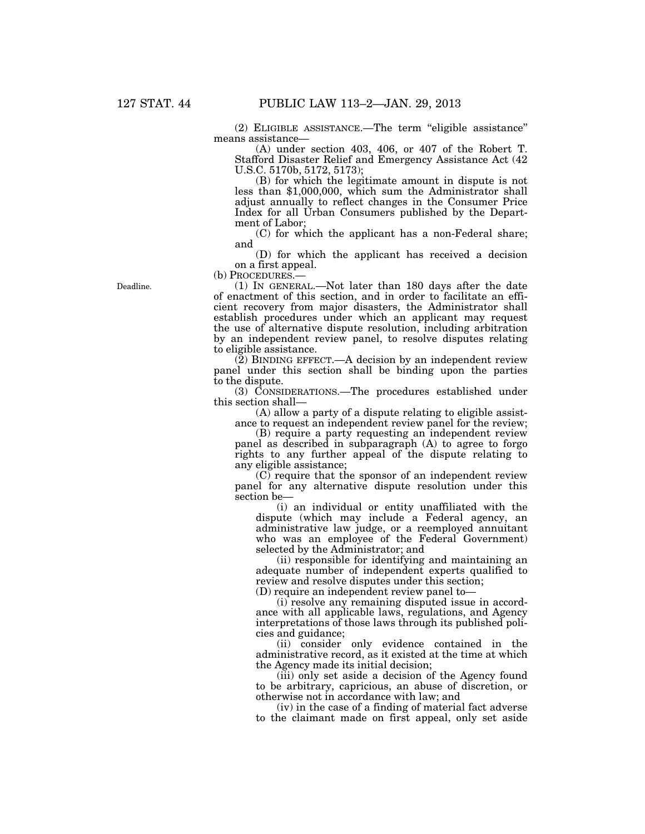(2) ELIGIBLE ASSISTANCE.—The term ''eligible assistance'' means assistance—

(A) under section 403, 406, or 407 of the Robert T. Stafford Disaster Relief and Emergency Assistance Act (42 U.S.C. 5170b, 5172, 5173);

(B) for which the legitimate amount in dispute is not less than \$1,000,000, which sum the Administrator shall adjust annually to reflect changes in the Consumer Price Index for all Urban Consumers published by the Department of Labor;

(C) for which the applicant has a non-Federal share; and

(D) for which the applicant has received a decision on a first appeal.<br>(b) PROCEDURES.—

 $(1)$  In GENERAL.—Not later than 180 days after the date of enactment of this section, and in order to facilitate an efficient recovery from major disasters, the Administrator shall establish procedures under which an applicant may request the use of alternative dispute resolution, including arbitration by an independent review panel, to resolve disputes relating to eligible assistance.

(2) BINDING EFFECT.—A decision by an independent review panel under this section shall be binding upon the parties to the dispute.

(3) CONSIDERATIONS.—The procedures established under this section shall—

(A) allow a party of a dispute relating to eligible assistance to request an independent review panel for the review;

(B) require a party requesting an independent review panel as described in subparagraph (A) to agree to forgo rights to any further appeal of the dispute relating to any eligible assistance;

(C) require that the sponsor of an independent review panel for any alternative dispute resolution under this section be—

(i) an individual or entity unaffiliated with the dispute (which may include a Federal agency, an administrative law judge, or a reemployed annuitant who was an employee of the Federal Government) selected by the Administrator; and

(ii) responsible for identifying and maintaining an adequate number of independent experts qualified to review and resolve disputes under this section;

(D) require an independent review panel to—

(i) resolve any remaining disputed issue in accordance with all applicable laws, regulations, and Agency interpretations of those laws through its published policies and guidance;

(ii) consider only evidence contained in the administrative record, as it existed at the time at which the Agency made its initial decision;

(iii) only set aside a decision of the Agency found to be arbitrary, capricious, an abuse of discretion, or otherwise not in accordance with law; and

(iv) in the case of a finding of material fact adverse to the claimant made on first appeal, only set aside

Deadline.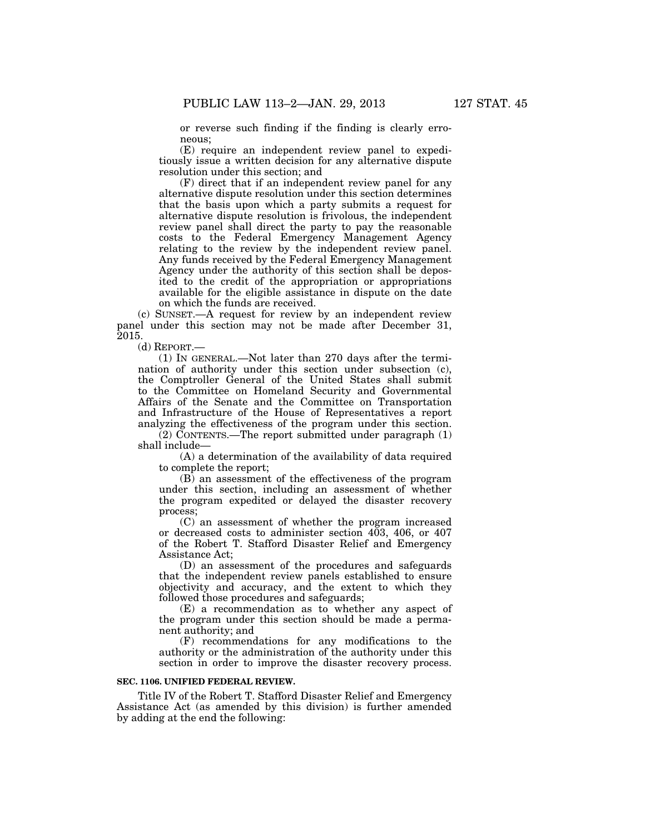or reverse such finding if the finding is clearly erroneous;

(E) require an independent review panel to expeditiously issue a written decision for any alternative dispute resolution under this section; and

(F) direct that if an independent review panel for any alternative dispute resolution under this section determines that the basis upon which a party submits a request for alternative dispute resolution is frivolous, the independent review panel shall direct the party to pay the reasonable costs to the Federal Emergency Management Agency relating to the review by the independent review panel. Any funds received by the Federal Emergency Management Agency under the authority of this section shall be deposited to the credit of the appropriation or appropriations available for the eligible assistance in dispute on the date on which the funds are received.

(c) SUNSET.—A request for review by an independent review panel under this section may not be made after December 31, 2015.

(d) REPORT.—

(1) IN GENERAL.—Not later than 270 days after the termination of authority under this section under subsection (c), the Comptroller General of the United States shall submit to the Committee on Homeland Security and Governmental Affairs of the Senate and the Committee on Transportation and Infrastructure of the House of Representatives a report analyzing the effectiveness of the program under this section.

(2) CONTENTS.—The report submitted under paragraph (1) shall include—

(A) a determination of the availability of data required to complete the report;

(B) an assessment of the effectiveness of the program under this section, including an assessment of whether the program expedited or delayed the disaster recovery process;

(C) an assessment of whether the program increased or decreased costs to administer section 403, 406, or 407 of the Robert T. Stafford Disaster Relief and Emergency Assistance Act;

(D) an assessment of the procedures and safeguards that the independent review panels established to ensure objectivity and accuracy, and the extent to which they followed those procedures and safeguards;

(E) a recommendation as to whether any aspect of the program under this section should be made a permanent authority; and

(F) recommendations for any modifications to the authority or the administration of the authority under this section in order to improve the disaster recovery process.

#### **SEC. 1106. UNIFIED FEDERAL REVIEW.**

Title IV of the Robert T. Stafford Disaster Relief and Emergency Assistance Act (as amended by this division) is further amended by adding at the end the following: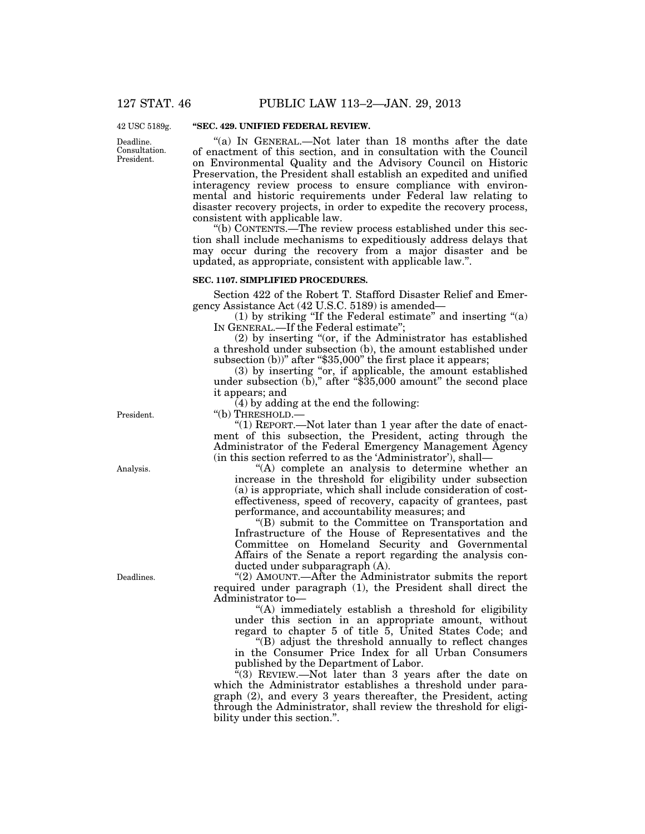42 USC 5189g.

Deadline. Consultation. President.

### **''SEC. 429. UNIFIED FEDERAL REVIEW.**

"(a) IN GENERAL.—Not later than 18 months after the date of enactment of this section, and in consultation with the Council on Environmental Quality and the Advisory Council on Historic Preservation, the President shall establish an expedited and unified interagency review process to ensure compliance with environmental and historic requirements under Federal law relating to disaster recovery projects, in order to expedite the recovery process, consistent with applicable law.

''(b) CONTENTS.—The review process established under this section shall include mechanisms to expeditiously address delays that may occur during the recovery from a major disaster and be updated, as appropriate, consistent with applicable law.''.

#### **SEC. 1107. SIMPLIFIED PROCEDURES.**

Section 422 of the Robert T. Stafford Disaster Relief and Emergency Assistance Act (42 U.S.C. 5189) is amended—

 $(1)$  by striking "If the Federal estimate" and inserting " $(a)$ IN GENERAL.—If the Federal estimate'';

(2) by inserting ''(or, if the Administrator has established a threshold under subsection (b), the amount established under subsection (b))" after " $$35,000$ " the first place it appears;

(3) by inserting "or, if applicable, the amount established under subsection (b)," after "\$35,000 amount" the second place it appears; and

 $(4)$  by adding at the end the following:

''(b) THRESHOLD.—

''(1) REPORT.—Not later than 1 year after the date of enactment of this subsection, the President, acting through the Administrator of the Federal Emergency Management Agency (in this section referred to as the 'Administrator'), shall—

''(A) complete an analysis to determine whether an increase in the threshold for eligibility under subsection (a) is appropriate, which shall include consideration of costeffectiveness, speed of recovery, capacity of grantees, past performance, and accountability measures; and

''(B) submit to the Committee on Transportation and Infrastructure of the House of Representatives and the Committee on Homeland Security and Governmental Affairs of the Senate a report regarding the analysis conducted under subparagraph (A).

''(2) AMOUNT.—After the Administrator submits the report required under paragraph (1), the President shall direct the Administrator to—

''(A) immediately establish a threshold for eligibility under this section in an appropriate amount, without regard to chapter 5 of title 5, United States Code; and

''(B) adjust the threshold annually to reflect changes in the Consumer Price Index for all Urban Consumers

published by the Department of Labor.

"(3) REVIEW.—Not later than 3 years after the date on which the Administrator establishes a threshold under paragraph (2), and every 3 years thereafter, the President, acting through the Administrator, shall review the threshold for eligibility under this section.''.

President.

Analysis.

Deadlines.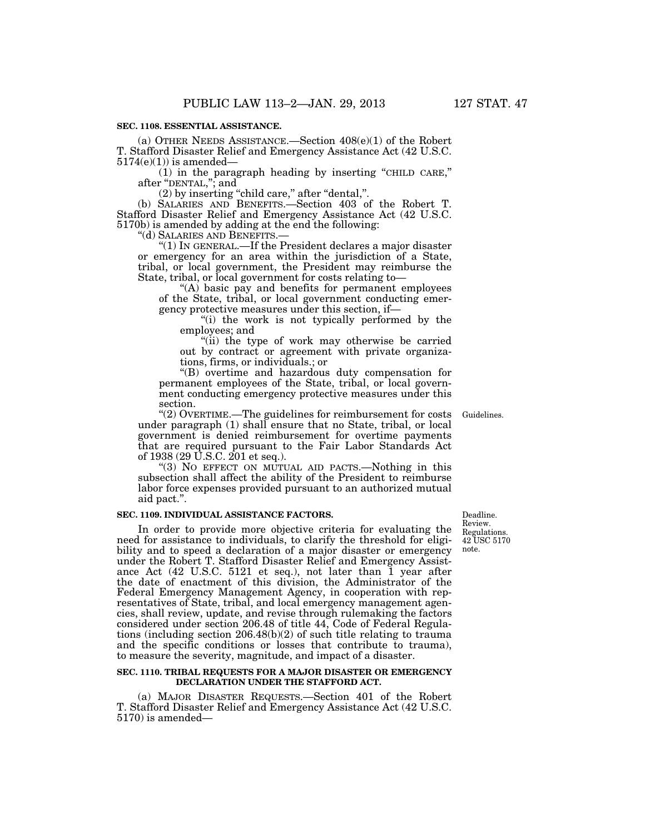#### **SEC. 1108. ESSENTIAL ASSISTANCE.**

(a) OTHER NEEDS ASSISTANCE.—Section 408(e)(1) of the Robert T. Stafford Disaster Relief and Emergency Assistance Act (42 U.S.C.  $5174(e)(1)$ ) is amended—

(1) in the paragraph heading by inserting ''CHILD CARE,'' after ''DENTAL,''; and

(2) by inserting ''child care,'' after ''dental,''.

(b) SALARIES AND BENEFITS.—Section 403 of the Robert T. Stafford Disaster Relief and Emergency Assistance Act (42 U.S.C. 5170b) is amended by adding at the end the following:

''(d) SALARIES AND BENEFITS.—

''(1) IN GENERAL.—If the President declares a major disaster or emergency for an area within the jurisdiction of a State, tribal, or local government, the President may reimburse the State, tribal, or local government for costs relating to—

" $(A)$  basic pay and benefits for permanent employees of the State, tribal, or local government conducting emergency protective measures under this section, if—

''(i) the work is not typically performed by the employees; and

"(ii) the type of work may otherwise be carried out by contract or agreement with private organizations, firms, or individuals.; or

''(B) overtime and hazardous duty compensation for permanent employees of the State, tribal, or local government conducting emergency protective measures under this section.

''(2) OVERTIME.—The guidelines for reimbursement for costs under paragraph (1) shall ensure that no State, tribal, or local government is denied reimbursement for overtime payments that are required pursuant to the Fair Labor Standards Act of 1938 (29 U.S.C. 201 et seq.).

''(3) NO EFFECT ON MUTUAL AID PACTS.—Nothing in this subsection shall affect the ability of the President to reimburse labor force expenses provided pursuant to an authorized mutual aid pact.''.

### **SEC. 1109. INDIVIDUAL ASSISTANCE FACTORS.**

In order to provide more objective criteria for evaluating the need for assistance to individuals, to clarify the threshold for eligibility and to speed a declaration of a major disaster or emergency under the Robert T. Stafford Disaster Relief and Emergency Assistance Act (42 U.S.C. 5121 et seq.), not later than 1 year after the date of enactment of this division, the Administrator of the Federal Emergency Management Agency, in cooperation with representatives of State, tribal, and local emergency management agencies, shall review, update, and revise through rulemaking the factors considered under section 206.48 of title 44, Code of Federal Regulations (including section 206.48(b)(2) of such title relating to trauma and the specific conditions or losses that contribute to trauma), to measure the severity, magnitude, and impact of a disaster.

#### **SEC. 1110. TRIBAL REQUESTS FOR A MAJOR DISASTER OR EMERGENCY DECLARATION UNDER THE STAFFORD ACT.**

(a) MAJOR DISASTER REQUESTS.—Section 401 of the Robert T. Stafford Disaster Relief and Emergency Assistance Act (42 U.S.C. 5170) is amended—

Deadline. Review. Regulations. 42 USC 5170 note.

Guidelines.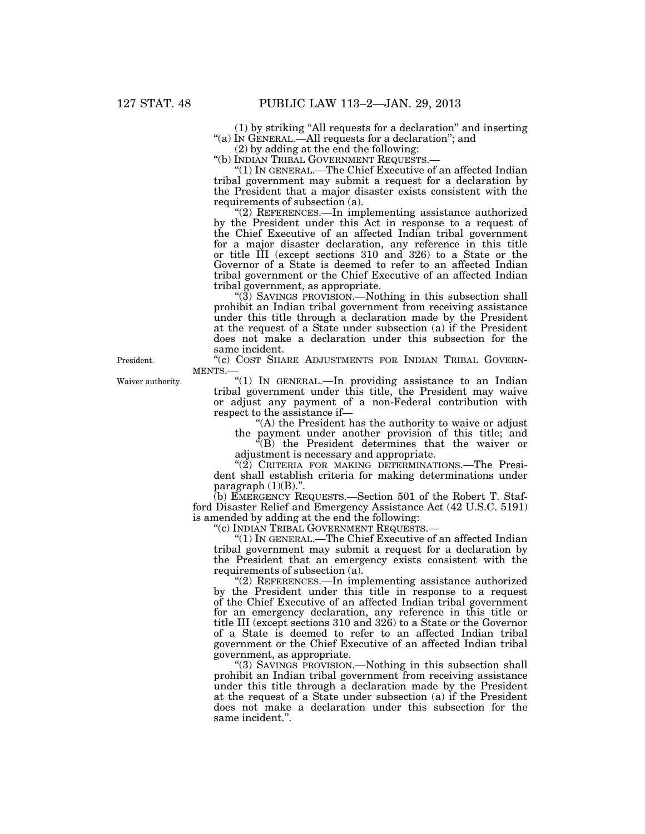(1) by striking ''All requests for a declaration'' and inserting "(a) IN GENERAL.—All requests for a declaration"; and

(2) by adding at the end the following:<br>"(b) INDIAN TRIBAL GOVERNMENT REQUESTS.-

 $''(1)$  IN GENERAL.—The Chief Executive of an affected Indian tribal government may submit a request for a declaration by the President that a major disaster exists consistent with the requirements of subsection (a).

''(2) REFERENCES.—In implementing assistance authorized by the President under this Act in response to a request of the Chief Executive of an affected Indian tribal government for a major disaster declaration, any reference in this title or title III (except sections 310 and 326) to a State or the Governor of a State is deemed to refer to an affected Indian tribal government or the Chief Executive of an affected Indian tribal government, as appropriate.

" $(3)$  SAVINGS PROVISION.—Nothing in this subsection shall prohibit an Indian tribal government from receiving assistance under this title through a declaration made by the President at the request of a State under subsection (a) if the President does not make a declaration under this subsection for the same incident.

"(c) COST SHARE ADJUSTMENTS FOR INDIAN TRIBAL GOVERN-MENTS.

"(1) IN GENERAL.—In providing assistance to an Indian tribal government under this title, the President may waive or adjust any payment of a non-Federal contribution with respect to the assistance if—

''(A) the President has the authority to waive or adjust

the payment under another provision of this title; and  $E(E)$  the President determines that the waiver or adjustment is necessary and appropriate.

"(2) CRITERIA FOR MAKING DETERMINATIONS.—The President shall establish criteria for making determinations under paragraph  $(1)(B)$ .".

(b) EMERGENCY REQUESTS.—Section 501 of the Robert T. Stafford Disaster Relief and Emergency Assistance Act (42 U.S.C. 5191) is amended by adding at the end the following:

''(c) INDIAN TRIBAL GOVERNMENT REQUESTS.—

''(1) IN GENERAL.—The Chief Executive of an affected Indian tribal government may submit a request for a declaration by the President that an emergency exists consistent with the requirements of subsection (a).

''(2) REFERENCES.—In implementing assistance authorized by the President under this title in response to a request of the Chief Executive of an affected Indian tribal government for an emergency declaration, any reference in this title or title III (except sections 310 and 326) to a State or the Governor of a State is deemed to refer to an affected Indian tribal government or the Chief Executive of an affected Indian tribal government, as appropriate.

''(3) SAVINGS PROVISION.—Nothing in this subsection shall prohibit an Indian tribal government from receiving assistance under this title through a declaration made by the President at the request of a State under subsection (a) if the President does not make a declaration under this subsection for the same incident.''.

President.

Waiver authority.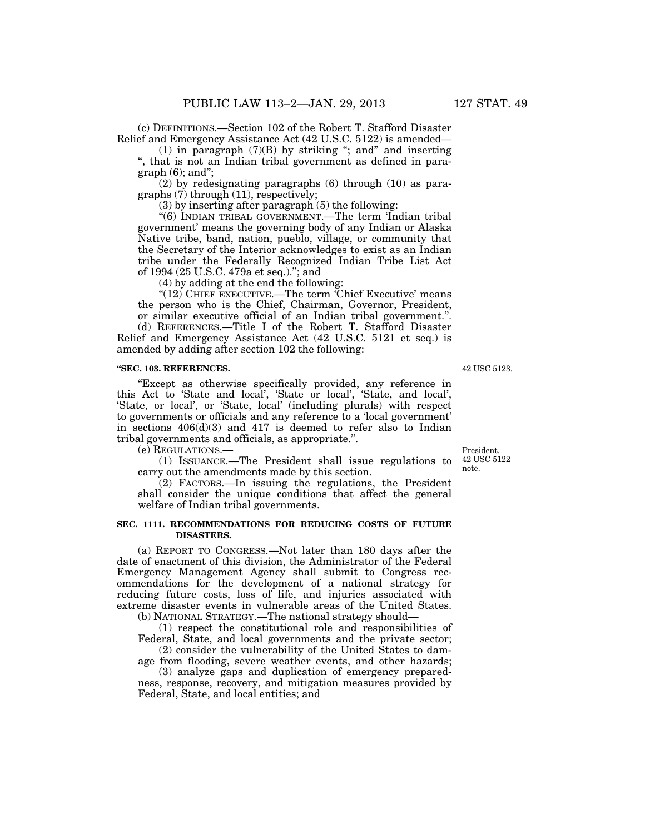(c) DEFINITIONS.—Section 102 of the Robert T. Stafford Disaster Relief and Emergency Assistance Act (42 U.S.C. 5122) is amended—

(1) in paragraph (7)(B) by striking ''; and'' and inserting '', that is not an Indian tribal government as defined in paragraph (6); and'';

(2) by redesignating paragraphs (6) through (10) as paragraphs (7) through (11), respectively;

(3) by inserting after paragraph (5) the following:

"(6) INDIAN TRIBAL GOVERNMENT.—The term 'Indian tribal government' means the governing body of any Indian or Alaska Native tribe, band, nation, pueblo, village, or community that the Secretary of the Interior acknowledges to exist as an Indian tribe under the Federally Recognized Indian Tribe List Act of 1994 (25 U.S.C. 479a et seq.).''; and

(4) by adding at the end the following:

"(12) CHIEF EXECUTIVE.—The term 'Chief Executive' means the person who is the Chief, Chairman, Governor, President, or similar executive official of an Indian tribal government.''. (d) REFERENCES.—Title I of the Robert T. Stafford Disaster

Relief and Emergency Assistance Act (42 U.S.C. 5121 et seq.) is amended by adding after section 102 the following:

#### **''SEC. 103. REFERENCES.**

''Except as otherwise specifically provided, any reference in this Act to 'State and local', 'State or local', 'State, and local', 'State, or local', or 'State, local' (including plurals) with respect to governments or officials and any reference to a 'local government' in sections  $406(d)(3)$  and  $417$  is deemed to refer also to Indian tribal governments and officials, as appropriate.''.

(e) REGULATIONS.—

(1) ISSUANCE.—The President shall issue regulations to carry out the amendments made by this section.

(2) FACTORS.—In issuing the regulations, the President shall consider the unique conditions that affect the general welfare of Indian tribal governments.

#### **SEC. 1111. RECOMMENDATIONS FOR REDUCING COSTS OF FUTURE DISASTERS.**

(a) REPORT TO CONGRESS.—Not later than 180 days after the date of enactment of this division, the Administrator of the Federal Emergency Management Agency shall submit to Congress recommendations for the development of a national strategy for reducing future costs, loss of life, and injuries associated with extreme disaster events in vulnerable areas of the United States.

(b) NATIONAL STRATEGY.—The national strategy should—

(1) respect the constitutional role and responsibilities of Federal, State, and local governments and the private sector;

(2) consider the vulnerability of the United States to damage from flooding, severe weather events, and other hazards;

(3) analyze gaps and duplication of emergency preparedness, response, recovery, and mitigation measures provided by Federal, State, and local entities; and

President. 42 USC 5122 note.

42 USC 5123.